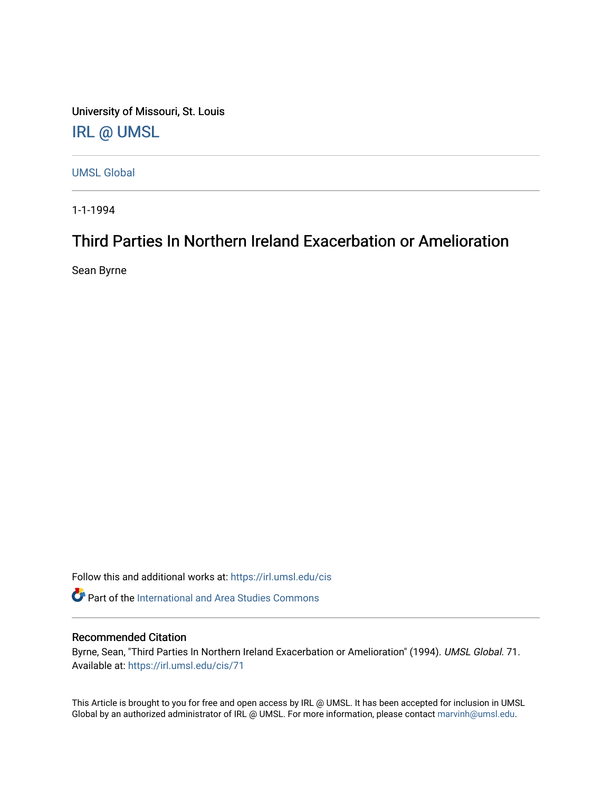University of Missouri, St. Louis [IRL @ UMSL](https://irl.umsl.edu/) 

[UMSL Global](https://irl.umsl.edu/cis)

1-1-1994

# Third Parties In Northern Ireland Exacerbation or Amelioration

Sean Byrne

Follow this and additional works at: [https://irl.umsl.edu/cis](https://irl.umsl.edu/cis?utm_source=irl.umsl.edu%2Fcis%2F71&utm_medium=PDF&utm_campaign=PDFCoverPages) 

**Part of the International and Area Studies Commons** 

# Recommended Citation

Byrne, Sean, "Third Parties In Northern Ireland Exacerbation or Amelioration" (1994). UMSL Global. 71. Available at: [https://irl.umsl.edu/cis/71](https://irl.umsl.edu/cis/71?utm_source=irl.umsl.edu%2Fcis%2F71&utm_medium=PDF&utm_campaign=PDFCoverPages) 

This Article is brought to you for free and open access by IRL @ UMSL. It has been accepted for inclusion in UMSL Global by an authorized administrator of IRL @ UMSL. For more information, please contact [marvinh@umsl.edu](mailto:marvinh@umsl.edu).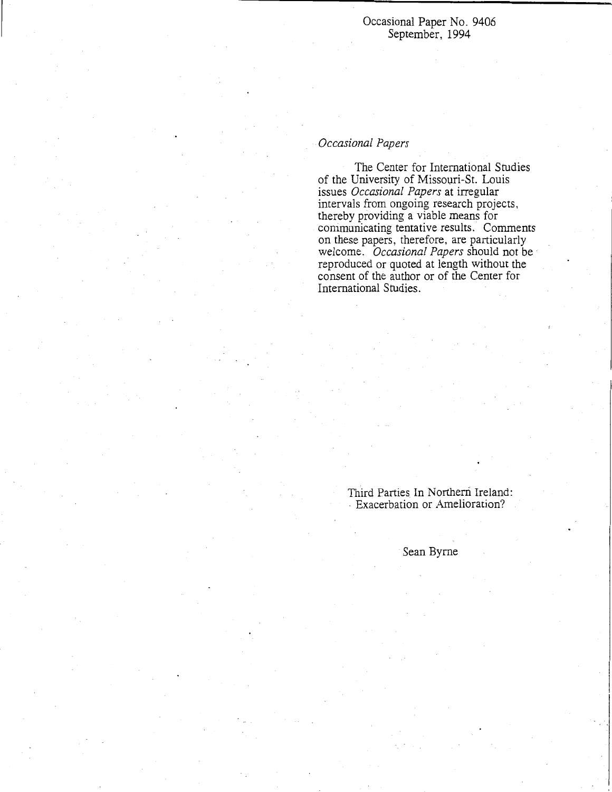Occasional Paper No. 9406 September, 1994

# *Occasional Papers*

The Center for International Studies of the University of Missouri-St. Louis issues *Occasional Papers* at irregular intervals from ongoing research projects, thereby providing a viable means for communicating tentative results. Comments on these papers, therefore, are particularly welcome. *Occasional Papers* should not be reproduced or quoted at length without the consent of the author or of the Center for International Studies.

# Third Parties In Northern Ireland: . Exacerbation or Amelioration?

Sean Byrne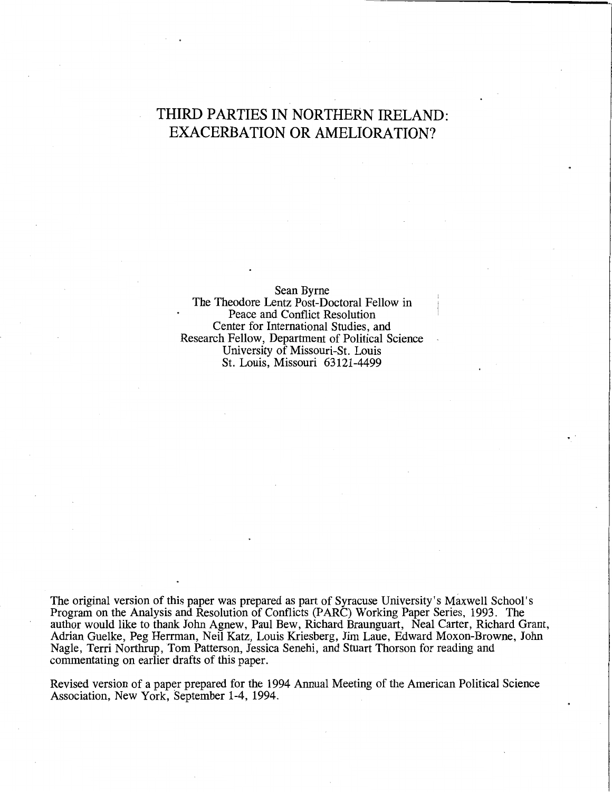# **THIRD PARTIES IN NORTHERN IRELAND: EXACERBATION OR AMELIORATION?**

Sean Byrne

The Theodore Lentz Post-Doctoral Fellow in Peace and Conflict Resolution Center for International Studies, and Research Fellow, Department of Political Science University of Missouri-St. Louis St. Louis, Missouri 63121-4499

The original version of this paper was prepared as part of Syracuse University's Maxwell School's Program on the Analysis and Resolution of Conflicts (PARC) Working Paper Series, 1993. The author would like to thank John Agnew, Paul Bew, Richard Braunguart, Neal Carter, Richard Grant, Adrian Guelke, Peg Herrman, Neil Katz, Louis Kriesberg, Jim Laue, Edward Moxon-Browne, John Nagle, Terri Northrup, Tom Patterson, Jessica Senehi, and Stuart Thorson for reading and commentating on earlier drafts of this paper.

Revised version of a paper prepared for the 1994 Annual Meeting of the American Political Science Association, New York, September 1-4, 1994.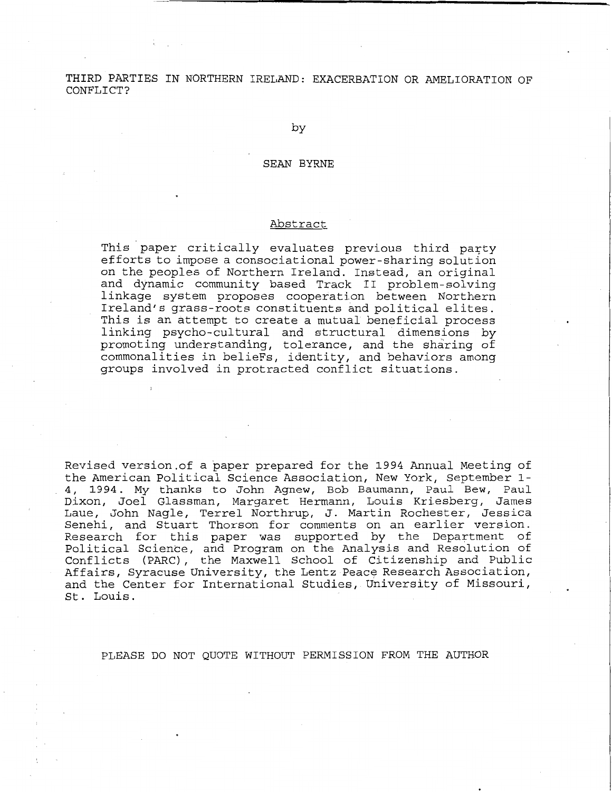THIRD PARTIES IN NORTHERN IRELAND: EXACERBATION OR AMELIORATION OF CONFLICT?

by

#### SEAN BYRNE

#### Abstract

This paper critically evaluates previous third party efforts to impose a consociational power-sharing solution on the peoples of Northern Ireland. Instead, an original and dynamic community based Track II problem-solving linkage system proposes cooperation between Northern Ireland's grass-roots constituents and political elites. This is an attempt to create a mutual beneficial process linking psycho-cultural and structural dimensions by promoting understanding, tolerance, and the sharing of commonalities in belieFs, identity, and behaviors among groups involved in protracted conflict situations.

Revised version.of a paper prepared for the 1994 Annual Meeting of the American Political Science Association, New York, September 1- 4, 1994. My thanks to John Agnew, Bob Baumann, Paul Bew, Paul Dixon, Joel Glassman, Margaret Hermann, Louis Kriesberg, James Laue, John Nagle, Terrel Northrup, J. Martin Rochester, Jessica Senehi, and Stuart Thorson for comments on an earlier version. Research for this paper was supported by the Department of Political Science, and Program on the Analysis and Resolution of Conflicts (PARC), the Maxwell School of Citizenship and Public Affairs, Syracuse University, the Lentz Peace Research Association, and the Center for International Studies, University of Missouri, St. Louis.

PLEASE DO NOT QUOTE WITHOUT PERMISSION FROM THE AUTHOR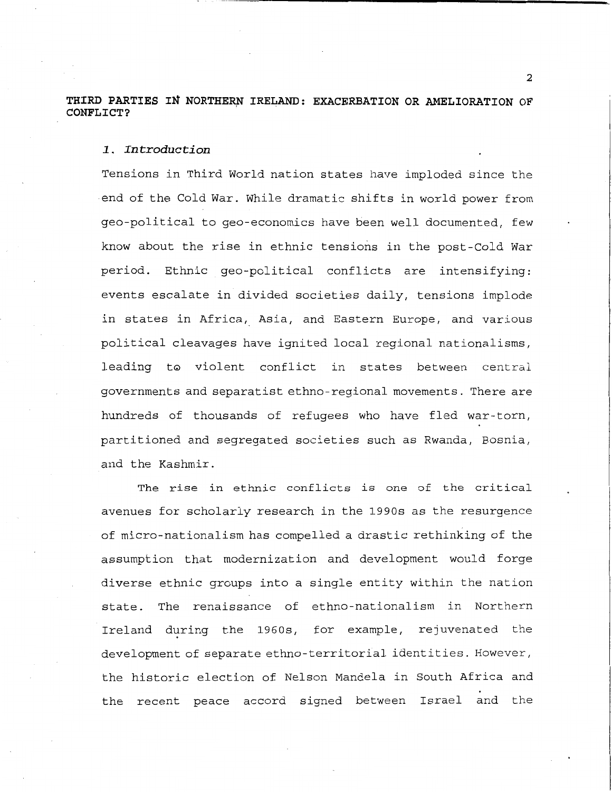# THIRD PARTIES IN NORTHERN IRELAND: EXACERBATION OR AMELIORATION OF **CONFLICT?**

# *1.. Introduction*

Tensions in Third World nation states have imploded since the end of the Cold War. While dramatic shifts in world power from gee-political to gee-economics have been well documented, few know about the rise in ethnic tensions in the post-Cold War period. Ethnic qeo-political conflicts are intensifying: events escalate in divided societies daily, tensions implode in states in Africa, Asia, and Eastern Europe, and various political cleavages have ignited local regional nationalisms, leading to violent conflict in states between central governments and separatist ethno-regional movements. There are hundreds of thousands of refugees who have fled war-torn, partitioned and segregated societies such as Rwanda, Bosnia, and the Kashmir.

The rise in ethnic conflicts is one of the critical avenues for scholarly research in the 1990s as the resurgence of micro-nationalism has compelled a drastic rethinking of the assumption that modernization and development would forge diverse ethnic groups into a single entity within the nation state. The renaissance of ethno-nationalism in Northern Ireland during the 1960s, for example, rejuvenated the development of separate ethno-territorial identities. However, the historic election of Nelson Mandela in South Africa and the recent peace accord signed between Israel and the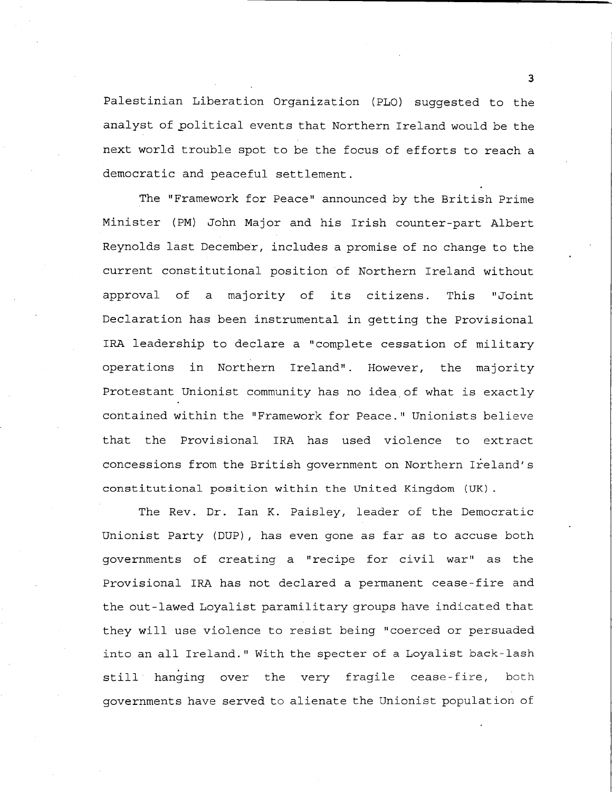Palestinian Liberation Organization (PLO) suggested to the analyst of political events that Northern Ireland would be the next world trouble spot to be the focus of efforts to reach a democratic and peaceful settlement.

The "Framework for Peace" announced by the British Prime Minister (PM) John Major and his Irish counter-part Albert Reynolds last December, includes a promise of no change to the current constitutional position of Northern Ireland without approval of a majority of its citizens. This "Joint Declaration has been instrumental in getting the Provisional IRA leadership to declare a "complete cessation of military operations in Northern Ireland". However, the majority Protestant Unionist community has no idea,of what is exactly contained within the "Framework for Peace." Unionists believe that the Provisional IRA has used violence to extract concessions from the British government on Northern Ireland's constitutional position within the United Kingdom (UK).

The Rev. Dr. Ian K. Paisley, leader of the Democratic Unionist Party (DUP), has even gone as far as to accuse both governments of creating a "recipe for civil war" as the Provisional IRA has not declared a permanent cease-fire and the out-lawed Loyalist paramilitary groups have indicated that they will use violence to resist being "coerced or persuaded into an all Ireland." With the specter of a Loyalist back-lash still hanging over the very fragile cease-fire, both governments have served to alienate the Unionist population of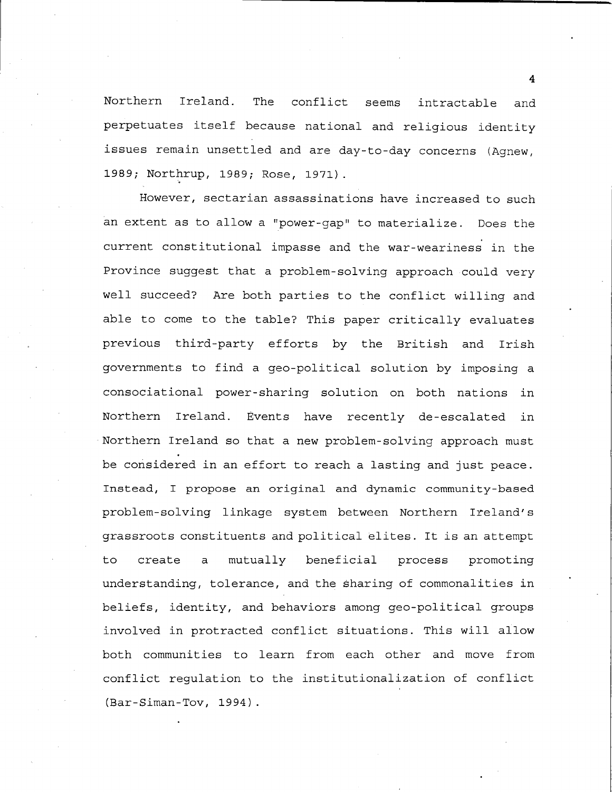Northern Ireland. The conflict seems intractable and perpetuates itself because national and religious identity issues remain unsettled and are day-to-day concerns (Agnew, 1989; Northrup, 1989; Rose, 1971).

However, sectarian assassinations have increased to such an extent as to allow a "power-gap" to materialize. Does the current constitutional impasse and the war-weariness in the Province suggest that a problem-solving approach could very well succeed? Are both parties to the conflict willing and able to come to the table? This paper critically evaluates previous third-party efforts by the British and Irish governments to find a geo-political solution by imposing a consociational power-sharing solution on both nations in Northern Ireland. Events have recently de-escalated in Northern Ireland so that a new problem-solving approach must be considered in an effort to reach a lasting and just peace. Instead, I propose an original and dynamic community-based problem-solving linkage system between Northern Ireland's grassroots constituents and political elites. It is an attempt to create a mutually beneficial process promoting understanding, tolerance, and the sharing of commonalities in beliefs, identity, and behaviors among geo-political groups involved in protracted conflict situations. This will allow both communities to learn from each other and move from conflict regulation to the institutionalization of conflict (Bar-Siman-Tov, 1994).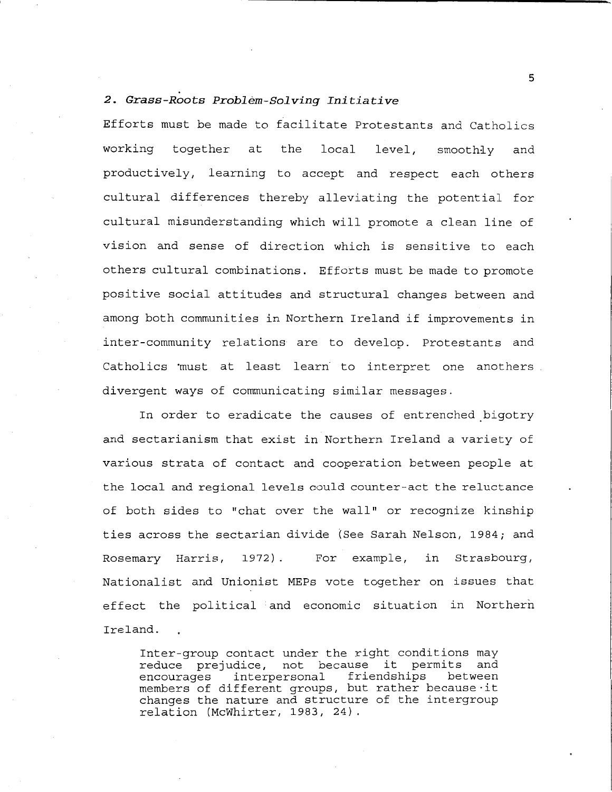# *2. Grass-Roots Problem-Solving Initiative*

Efforts must be made to facilitate Protestants and Catholics working together at the local level, smoothly and productively, learning to accept and respect each others cultural differences thereby alleviating the potential for cultural misunderstanding which will promote a clean line of vision and sense of direction which is sensitive to each others cultural combinations. Efforts must be made to promote positive social attitudes and structural changes between and among both communities in Northern Ireland if improvements in inter-community relations are to develop. Protestants and Catholics must at least learn to interpret one anothers. divergent ways of communicating similar messages.

In order to eradicate the causes of entrenched bigotry and sectarianism that exist in Northern Ireland a variety of various strata of contact and cooperation between people at the local and regional levels could counter-act the reluctance of both sides to "chat over the wall" or recognize kinship ties across the sectarian divide (See Sarah Nelson, 1984; and Rosemary Harris, 1972) . For example, in Strasbourg, Nationalist and Unionist MEPs vote together on issues that effect the political and economic situation in Northern Ireland.

Inter-group contact under the right conditions may reduce prejudice, not because it permits and friendships between members of different groups, but rather because-it changes the nature and structure of the intergroup relation (Mcwhirter, 1983, 24).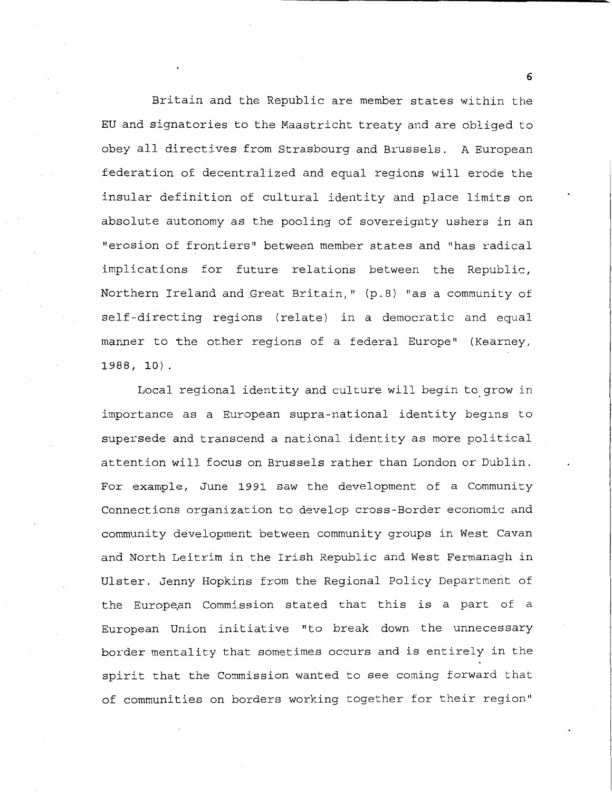Britain and the Republic are member states within the EU and signatories to the Maastricht treaty and are obliged to obey all directives from Strasbourg and Brussels. A European federation of decentralized and equal regions will erode the insular definition of cultural identity and place limits on absolute autonomy as the pooling of sovereignty ushers in an "erosion of frontiers" between member states and "has radical implications for future relations between the Republic, Northern Ireland and Great Britain," (p.8) "as a community of self-directing regions (relate) in a democratic and equal manner to the other regions of a federal Europe" (Kearney, 1988, 10).

Local regional identity and culture will begin to\_grow in importance as a European supra-national identity begins to supersede and transcend a national identity as more political attention will focus on Brussels rather than London or Dublin. For example, June 1991 saw the development of a Community Connections organization to develop cross-Border economic and community development between community groups in West Cavan and North Leitrim in the Irish Republic and West Fermanagh in Ulster. Jenny Hopkins from the Regional Policy Department of the European Commission stated that this is a part of a European Union initiative "to break down the unnecessary border mentality that sometimes occurs and is entirely in the spirit that the Commission wanted to see coming forward that of communities on borders working together for their region"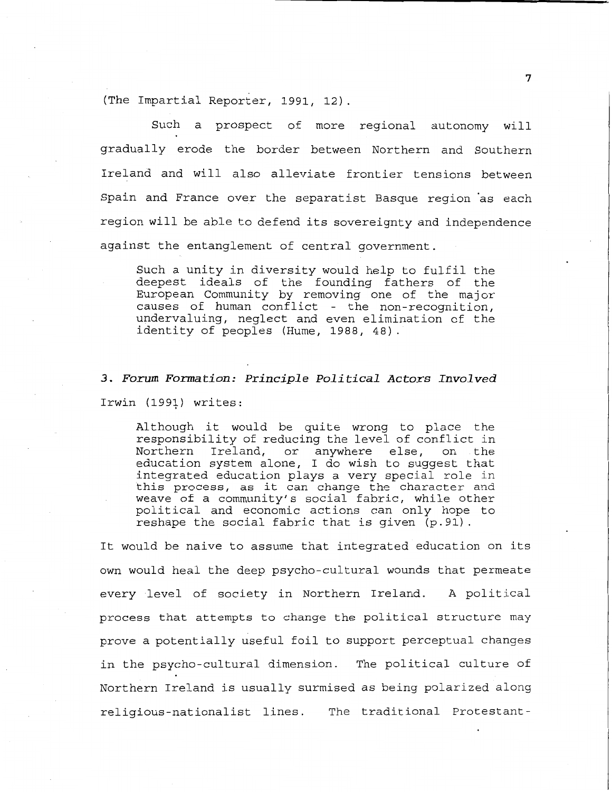(The Impartial Reporter, 1991, 12).

Such a prospect of more regional autonomy will gradually erode the border between Northern and Southern Ireland and will also alleviate frontier tensions between Spain and France over the separatist Basque region as each region will be able to defend its sovereignty and independence against the entanglement of central government.

Such a unity in diversity would help to fulfil the deepest ideals of the founding fathers of the European Community by removing one of the major causes of human conflict - the non-recognition, undervaluing, neglect and even elimination of the identity of peoples (Hume, 1988, 48).

# *3. Forum Formation: Principle Political Actors Involved*  Irwin (1991) writes:

Although it would be quite wrong to place the responsibility of reducing the level of conflict in<br>Northern Ireland, or anywhere else, on the or anywhere else, on the education system alone, I do wish to suggest that integrated education plays a very special role in this process, as it can change the character and weave of a community's social fabric, while other political and economic actions can only hope to reshape the social fabric that is given (p.91).

It would be naive to assume that integrated education on its own would heal the deep psycho-cultural wounds that permeate every level of society in Northern Ireland. A political process that attempts to change the political structure may prove a potentially useful foil to support perceptual changes in the psycho-cultural dimension. The political culture of Northern Ireland is usually surmised as being polarized along religious-nationalist lines. The traditional Protestant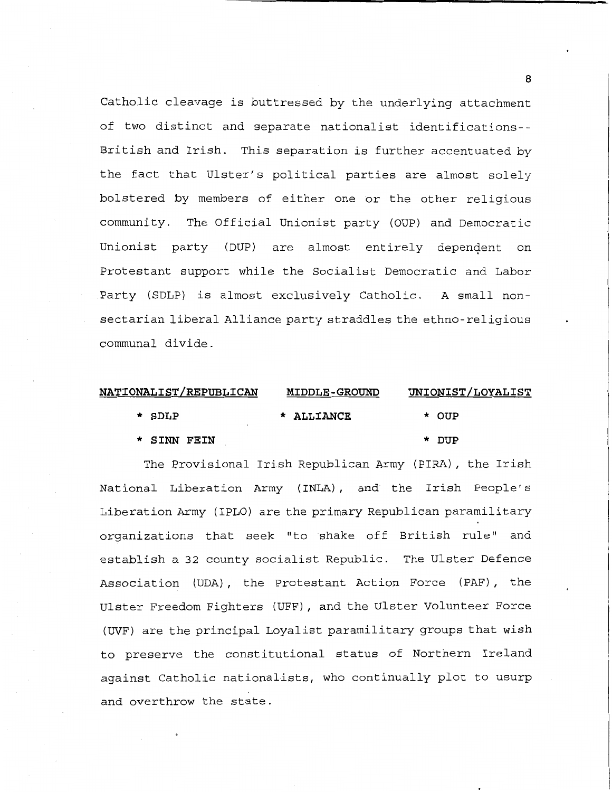Catholic cleavage is buttressed by the underlying attachment of two distinct and separate nationalist identifications- - British and Irish. This separation is further accentuated by the fact that Ulster's political parties are almost solely bolstered by members of either one or the other religious community. The Official Unionist party (OUP) and Democratic Unionist party (DUP) are almost entirely dependent on Protestant support while the Socialist Democratic and Labor Party (SDLP) is almost exclusively Catholic. A small nonsectarian liberal Alliance party straddles the ethno-religious communal divide.

| <b>NATIONALIST/REPUBLICAN</b> | <b>MIDDLE-GROUND</b> | <u>UNIONIST/LOYALIST</u> |  |  |  |
|-------------------------------|----------------------|--------------------------|--|--|--|
| $*$ SDLP                      | * ALLIANCE           | * OUP                    |  |  |  |
| * SINN FEIN                   |                      | * DUP                    |  |  |  |

The Provisional Irish Republican Army (PIRA), the Irish National Liberation Army ( INLA) , and the Irish People's Liberation Army (IPLO) are the primary Republican paramilitary organizations that seek "to shake off British rule" and establish a 32 county socialist Republic. The Ulster Defence Association (UDA), the Protestant Action Force (PAF), the Ulster Freedom Fighters (UFF), and the Ulster Volunteer Force (UVF) are the principal Loyalist paramilitary groups that wish to preserve the constitutional status of Northern Ireland against Catholic nationalists, who continually plot to usurp and overthrow the state.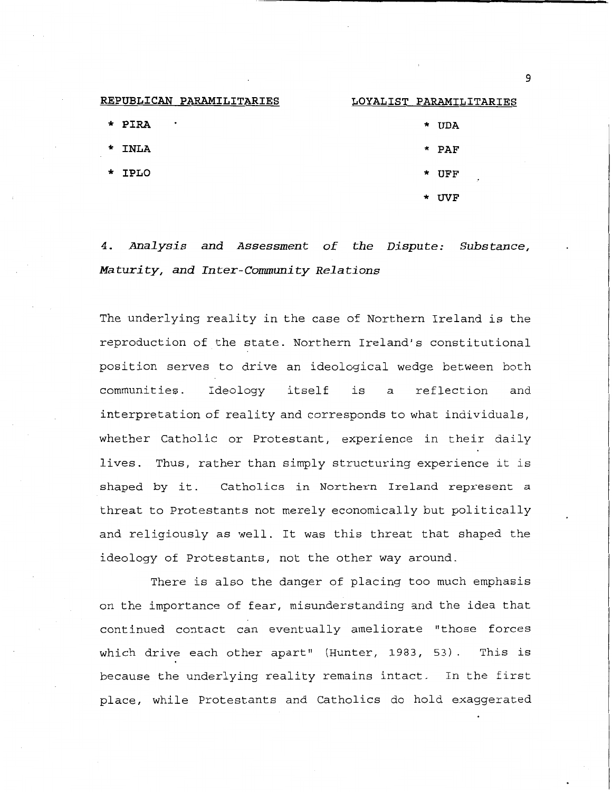| REPUBLICAN PARAMILITARIES | LOYALIST PARAMILITARIES |
|---------------------------|-------------------------|
| * PIRA<br>$\bullet$       | * UDA                   |
| * INLA<br>$\sim$          | $\star$ PAF             |
| * IPLO                    | * UFF                   |
|                           | * UVF                   |

*4. Analysis and Assessment of the Dispute: Substance, Maturity, and Inter-Community Relations* 

The underlying reality in the case of Northern Ireland is the reproduction of the state. Northern Ireland's constitutional position serves to drive an ideological wedge between both communities. Ideology itself is a reflection and interpretation of reality and corresponds to what individuals, whether Catholic or Protestant, experience in their daily lives. Thus, rather than simply structuring experience it is shaped by it. Catholics in Northern Ireland represent a threat to Protestants not merely economically but politically and religiously as well. It was this threat that shaped the ideology of Protestants, not the other way around.

There is also the danger of placing too much emphasis on the importance of fear, misunderstanding and the idea that continued contact can eventually ameliorate "those forces which drive each other apart" (Hunter, 1983, 53). This is because the underlying reality remains intact. In the first place, while Protestants and Catholics do hold exaggerated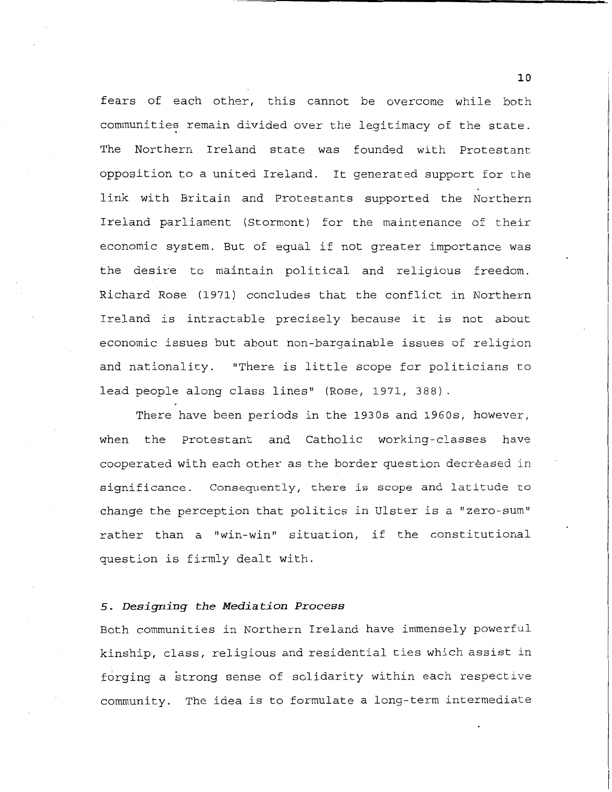fears of each other, this cannot be overcome while both communities remain divided over the legitimacy of the state. The Northern Ireland state was founded with Protestant opposition to a united Ireland. It generated support for the link with Britain and Protestants supported the Northern Ireland parliament (Stormont) for the maintenance of their economic system. But of equal if not greater importance was the desire to maintain political and religious freedom. Richard Rose (1971) concludes that the conflict in Northern Ireland is intractable precisely because it is not about economic issues but about non-bargainable issues of religion and nationality. "There is little scope for politicians to lead people along class lines" (Rose, 1971, 388).

There have been periods in the 1930s and 1960s, however, when the Protestant and Catholic working-classes have cooperated with each other as the border question decreased in significance. Consequently, there is scope and latitude to change the perception that politics in Ulster is a "zero-sum" rather than a "win-win" situation, if the constitutional question is firmly dealt with.

# **5.** *Designing the Mediation Process*

Both communities in Northern Ireland have immensely powerful kinship, class, religious and residential ties which assist in forging a strong sense of solidarity within each respective community. The idea is to formulate a long-term intermediate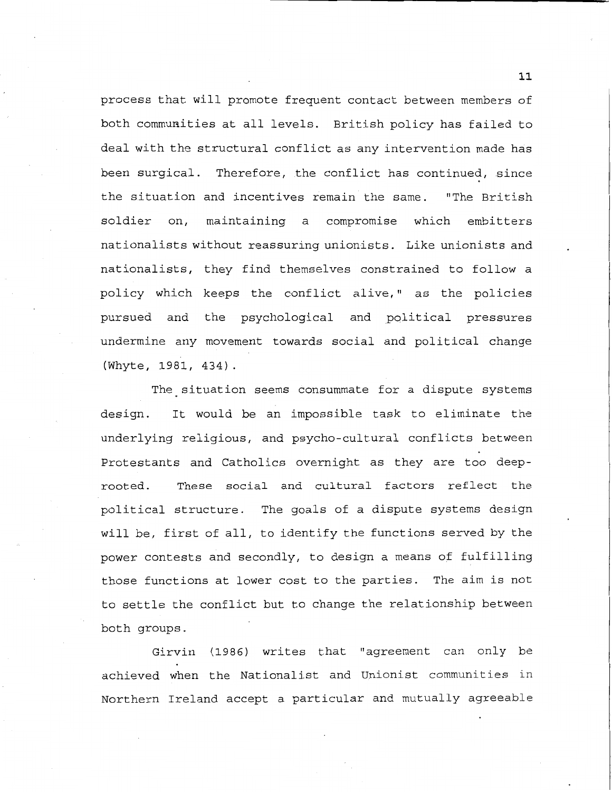process that will promote frequent contact between members of both commuaities at all levels. British policy has failed to deal with the structural conflict as any intervention made has been surgical. Therefore, the conflict has continued, since the situation and incentives remain the same. "The British soldier on, maintaining a compromise which embitters nationalists without reassuring unionists. Like unionists and nationalists, they find themselves constrained to follow a policy which keeps the conflict alive," as the policies pursued and the psychological and political pressures undermine any movement towards social and political change (Whyte, 1981, 434).

The situation seems consummate for a dispute systems design. It would be an impossible task to eliminate the underlying religious, and psycho-cultural conflicts between Protestants and Catholics overnight as they are too deeprooted. These social and cultural factors reflect the political structure. The goals of a dispute systems design will be, first of all, to identify the functions served by the power contests and secondly, to design a means of fulfilling those functions at lower cost to the parties. The aim is not to settle the conflict but to change the relationship between both groups.

Girvin (1986) writes that "agreement can only be achieved when the Nationalist and Unionist communities in Northern Ireland accept a particular and mutually agreeable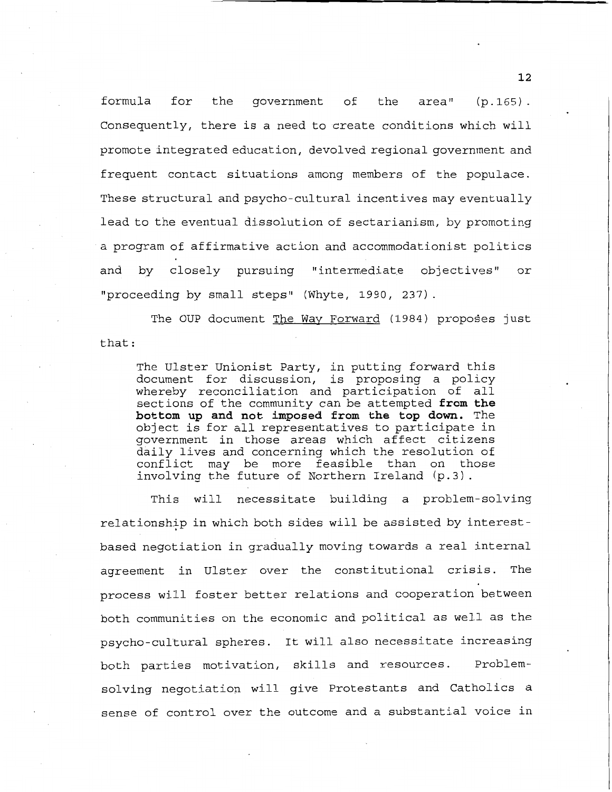formula for the government of the area" (p.165). Consequently, there is a need to create conditions which will promote integrated education, devolved regional government and frequent contact situations among members of the populace. These structural and psycho-cultural incentives may eventually lead to the eventual dissolution of sectarianism, by promoting a program of affirmative action and accommodationist politics and by closely pursuing "intermediate objectives" or "proceeding by small steps" (Whyte, 1990, 237)

The OUP document The Way Forward (1984) proposes just that:

The Ulster Unionist Party, in putting forward this document for discussion, is proposing a policy whereby reconciliation and participation of all sections of the community can be attempted **from the bottom up and not imposed from the top down.** The object is for all representatives to participate in government in those areas which affect citizens daily lives and concerning which the resolution of conflict may be more feasible than on those involving the future of Northern Ireland (p.3).

This will necessitate building a problem-solving relationshtp in which both sides will be assisted by interestbased negotiation in gradually moving towards a real internal agreement in Ulster over the constitutional crisis. The process will foster better relations and cooperation between both communities on the economic and political as well as the psycho-cultural spheres. It will also necessitate increasing both parties motivation, skills and resources. Problemsolving negotiation will give Protestants and Catholics a sense of control over the outcome and a substantial voice in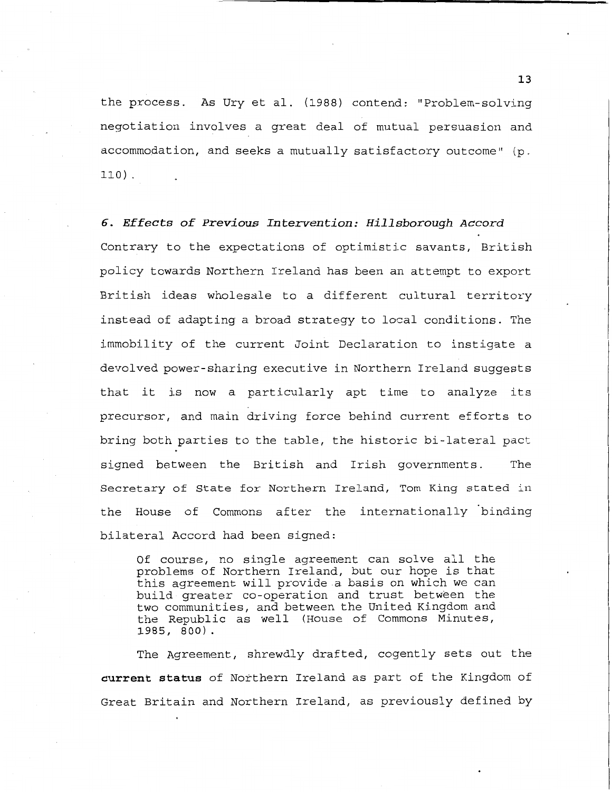the process. As Ury et al. (1988) contend: "Problem-solving negotiation involves a great deal of mutual persuasion and accommodation, and seeks a mutually satisfactory outcome" (p. 110) .

*6. Effects of Previous Intervention: Hillsborough Accord*  Contrary to the expectations of optimistic savants, British policy towards Northern Ireland has been an attempt to export British ideas wholesale to a different cultural territory instead of adapting a broad strategy to local conditions. The immobility of the current Joint Declaration to instigate a devolved power-sharing executive in Northern Ireland suggests that it is now a particularly apt time to analyze its precursor, and main driving force behind current efforts to bring both parties to the table, the historic bi-lateral pact signed between the British and Irish governments. The Secretary of State for Northern Ireland, Tom King stated in the House of Commons after the internationally binding bilateral Accord had been signed:

Of course, no single agreement can solve all the problems of Northern Ireland, but our hope is that this agreement will provide a basis on which we can build greater co-operation and trust between the two communities, and between the United Kingdom and the Republic as well (House of Commons Minutes, **1985, 800).** 

The Agreement, shrewdly drafted, cogently sets out the **current status** of Northern Ireland as part of the Kingdom of Great Britain and Northern Ireland, as previously defined by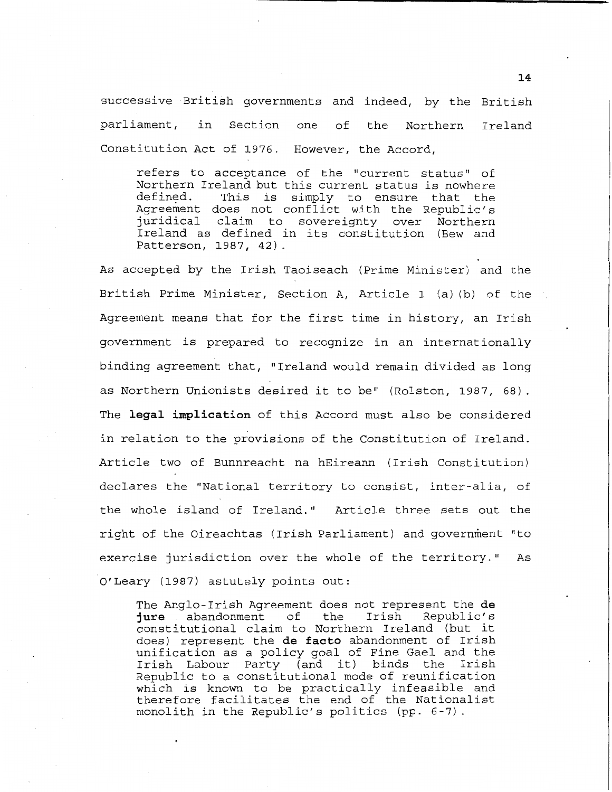successive British governments and indeed, by the British parliament, in Section one of the Northern Ireland Constitution Act of 1976. However, the Accord,

refers to acceptance of the "current status" of Northern Ireland but this current status is nowhere<br>defined. This is simply to ensure that the This is simply to ensure that the Agreement does not conflict with the Republic's<br>juridical claim to sovereignty over Northern juridical claim to sovereignty over Ireland as defined in its constitution (Bew and Patterson, 1987, 42)

As accepted by the Irish Taoiseach (Prime Minister) and the British Prime Minister, Section A, Article 1 (a) (b) of the Agreement means that for the first time in history, an Irish government is prepared to recognize in an internationally binding agreement that, "Ireland would remain divided as long as Northern Unionists desired it to be" (Rolston, 1987, 68). The **legal implication** of this Accord must also be considered in relation to the provisions of the Constitution of Ireland. Article two of Bunnreacht na hEireann (Irish Constitution) declares the "National territory to consist, inter-alia, of the whole island of Ireland." Article three sets out the right of the Oireachtas (Irish Parliament) and government "to exercise jurisdiction over the whole of the territory." As O'Leary (1987) astutely points out:

The Anglo-Irish Agreement does not represent the **de jure** abandonment of the Irish constitutional claim to Northern Ireland (but it does) represent the **de facto** abandonment of Irish unification as a policy goal of Fine Gael and the Irish Labour Party (and it) binds the Irish Republic to a constitutional mode of reunification which is known to be practically infeasible and therefore facilitates the end of the Nationalist monolith in the Republic's politics (pp. 6-7).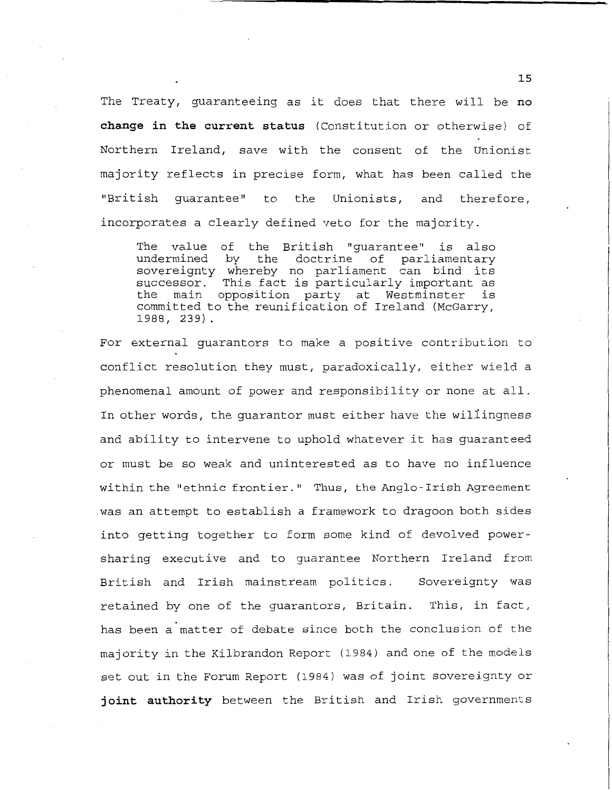The Treaty, guaranteeing as it does that there will be **no change in the current status** (Constitution or otherwise) of Northern Ireland, save with the consent of the Unionist majority reflects in precise form, what has been called the "British guarantee" to the Unionists, and therefore, incorporates a clearly defined veto for the majority.

The value of the British "guarantee" is also undermined by the doctrine of parliamentary sovereignty whereby no parliament can bind its successor. This fact is particularly important as<br>the main opposition party at Westminster is main opposition party at Westminster is committed to the reunification of Ireland (McGarry, 1988, 239).

For external guarantors to make a positive contribution to conflict resolution they must, paradoxically, either wield a phenomenal amount of power and responsibility or none at all. In other words, the guarantor must either have the wil1ingness and ability to intervene to uphold whatever it has guaranteed or must be so weak and uninterested as to have no influence within the "ethnic frontier." Thus, the Anglo- Irish Agreement was an attempt to establish a framework to dragoon both sides into getting together to form some kind of devolved powersharing executive and to guarantee Northern Ireland from British and Irish mainstream politics. retained by one of the guarantors, Britain. Sovereignty was This, in fact, has been a matter of debate since both the conclusion of the majority in the Kilbrandon Report (1984) and one of the models set out in the Forum Report (1984) was of joint sovereignty or **joint authority** between the British and Irish governments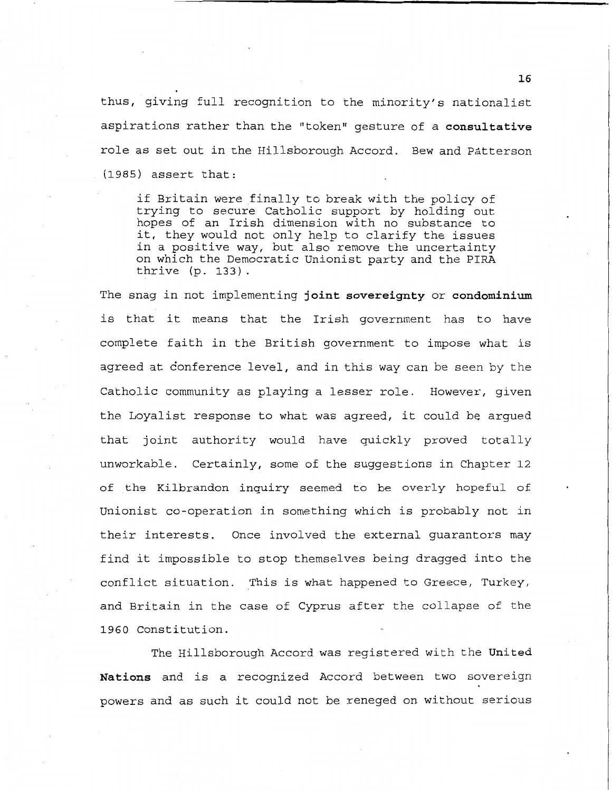thus, giving full recognition to the minority's nationalist aspirations rather than the "token" gesture of a **consultative**  role as set out in the Hillsborough Accord. Bew and Patterson (1985) assert that:

if Britain were finally to break with the policy of trying to secure Catholic support by holding out hopes of an Irish dimension with no substance to it, they would not only help to clarify the issues in a positive way, but also remove the uncertainty on which the Democratic Unionist party and the PIRA thrive (p. 133).

The snag in not implementing **joint sovereignty or condominium**  is that it means that the Irish government has to have complete faith in the British government to impose what is agreed at conference level, and in this way can be seen by the Catholic community as playing a lesser role. However, given the Loyalist response to what was agreed, it could be argued that joint authority would have quickly proved totally unworkable. Certainly, some of the suggestions in Chapter 12 of the Kilbrandon inquiry seemed to be overly hopeful of Unionist co-operation in something which is probably not in their interests. Once involved the external guarantors may find it impossible to stop themselves being dragged into the conflict situation. This is what happened to Greece, Turkey, and Britain in the case of Cyprus after the collapse of the 1960 Constitution.

The Hillsborough Accord was registered with the **United Nations** and is a recognized Accord between two sovereign powers and as such it could not be reneged on without serious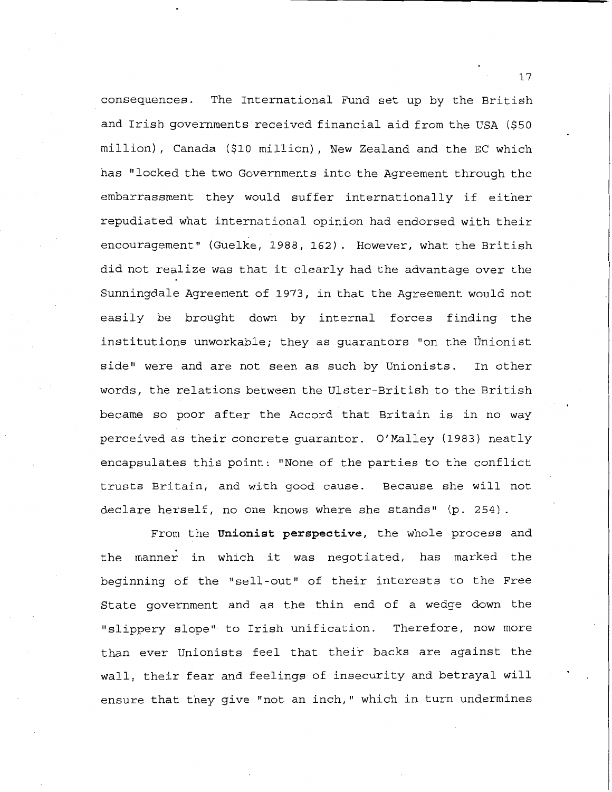consequences. The International Fund set up by the British and Irish governments received financial aid from the USA (\$50 million), Canada (\$10 million), New Zealand and the EC which has "locked the two Governments into the Agreement through the embarrassment they would suffer internationally if either repudiated what international opinion had endorsed with their encouragement" (Guelke, 1988, 162). However, what the British did not realize was that it clearly had the advantage over the Sunningdale Agreement of 1973, in that the Agreement would not easily be brought down by internal forces finding the institutions unworkable; they as guarantors "on the Unionist side" were and are not seen as such by Unionists. In other words, the relations between the Ulster-British to the British became so poor after the Accord that Britain is in no way perceived as their concrete guarantor. O' Malley (1983) neatly encapsulates this point: "None of the parties to the conflict trusts Britain, and with good cause. Because she will not declare herself, no one knows where she stands" (p. 254).

From the **Unionist perspective,** the whole process and the manner in which it was negotiated, has marked the beginning of the "sell-out" of their interests to the Free State government and as the thin end of a wedge down the "slippery slope" to Irish unification. Therefore, now more than ever Unionists feel that their backs are against the wall, their fear and feelings of insecurity and betrayal will ensure that they give "not an inch," which in turn undermines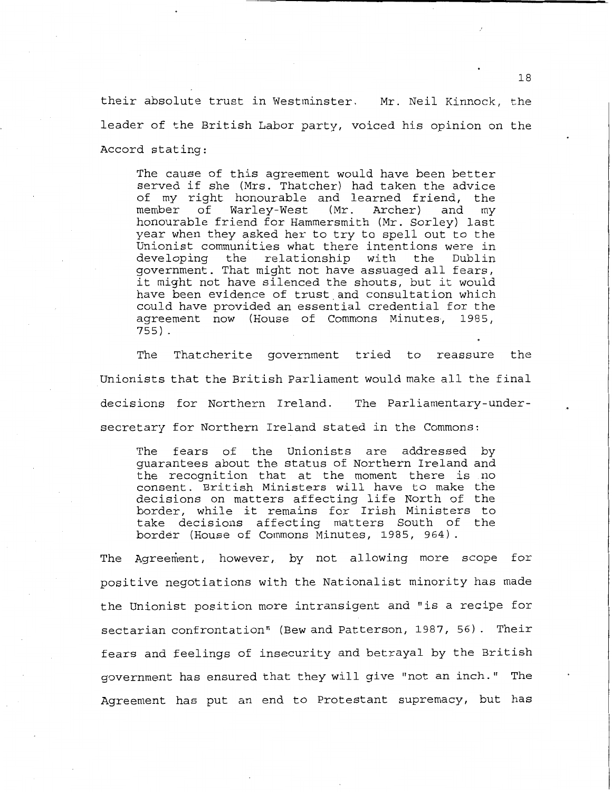their absolute trust in Westminster. Mr. Neil Kinnock, the leader of the British Labor party, voiced his opinion on the Accord stating:

The cause of this agreement would have been better served if she (Mrs. Thatcher) had taken the advice of my right honourable and learned friend, the<br>member of Warley-West (Mr. Archer) and my of Warley-West (Mr. Archer) honourable friend for Hammersmith (Mr. Sorley) last year when they asked her to try to spell out to the Unionist communities what there intentions were in<br>developing the relationship with the Dublin developing the relationship with the Dublin government. That might not have assuaged all fears, it might not have silenced the shouts, but it would have been evidence of trust and consultation which could have provided an essential credential for the agreement now (House of Commons Minutes, 1985, 755)

The Thatcherite government tried to reassure the Unionists that the British Parliament would make all the final decisions for Northern Ireland. The Parliamentary-undersecretary for Northern Ireland stated in the Commons:

The fears of the Unionists are addressed by guarantees about the status of Northern Ireland and the recognition that at the moment there is no consent. British Ministers will have to make the decisions on matters affecting life North of the border, while it remains for Irish Ministers to take decisions affecting matters South of the border (House of Commons Minutes, 1985, 964)

The Agreement, however, by not allowing more scope for positive negotiations with the Nationalist minority has made the Unionist position more intransigent and "is a recipe for sectarian confrontation" (Bew and Patterson, 1987, 56). Their fears and feelings of insecurity and betrayal by the British government has ensured that they will give "not an inch." The Agreement has put an end to Protestant supremacy, but has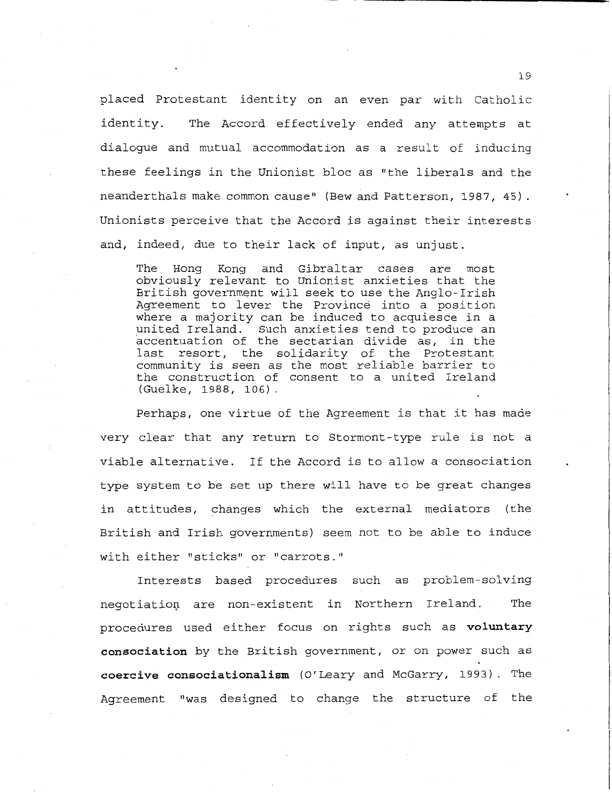placed Protestant identity on an even par with Catholic identity. The Accord effectively ended any attempts at dialogue and mutual accommodation as a result of inducing these feelings in the Unionist bloc as "the liberals and the neanderthals make common cause" (Bew and Patterson, 1987, 45) . Unionists perceive that the Accord is against their interests and, indeed, due to their lack of input, as unjust.

The Hong Kong and Gibraltar cases are most obviously relevant to Unionist anxieties that the British government will seek to use the Anglo-Irish Agreement to lever the Province into a position where a majority can be induced to acquiesce in a united Ireland. Such anxieties tend to produce an accentuation of the sectarian divide as, in the last resort, the solidarity of the Protestant community is seen as the most reliable barrier to the construction of consent to a united Ireland (Guelke, 1988, 106).

Perhaps, one virtue of the Agreement is that it has made very clear that any return to Stormont-type rule is not a viable alternative. If the Accord is to allow a consociation type system to be set up there will have to be great changes in attitudes, changes which the external mediators (the British and Irish governments) seem not to be able to induce with either "sticks" or "carrots."

Interests based procedures such as problem-solving negotiation are non-existent in Northern Ireland. The procedures used either focus on rights such as **voluntary consociation** by the British government, or on power such as **coercive consociationalism** (O'Leary and McGarry, 1993). The Agreement "was designed to change the structure of the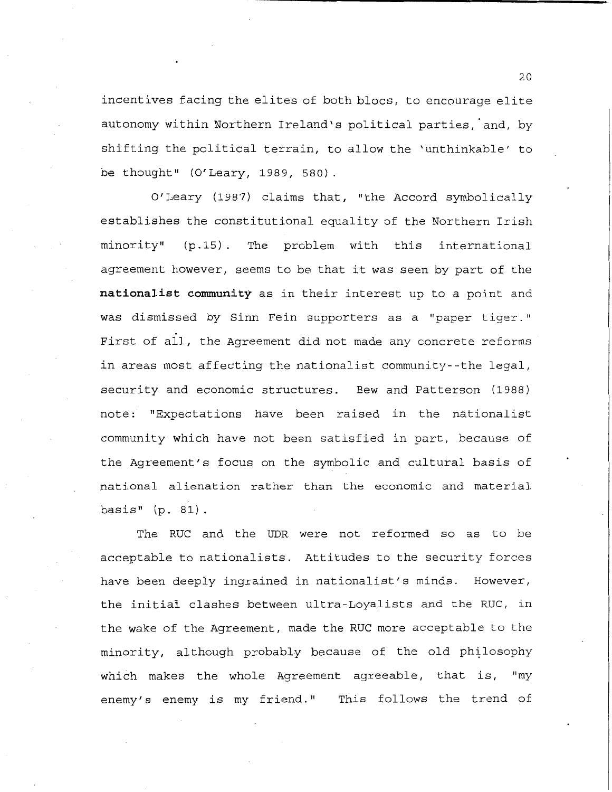incentives facing the elites of both blocs, to encourage elite autonomy within Northern Ireland's political parties, and, by shifting the political terrain, to allow the 'unthinkable' to be thought" (O'Leary, 1989, 580).

O'Leary (1987) claims that, "the Accord symbolically establishes the constitutional equality of the Northern Irish minority" (p.15). The problem with this international agreement however, seems to be that it was seen by part of the **nationalist community** as in their interest up to a point and was dismissed by Sinn Fein supporters as a "paper tiger." First of all, the Agreement did not made any concrete reforms in areas most affecting the nationalist community--the legal, security and economic structures. Bew and Patterson (1988) note: "Expectations have been raised in the nationalist community which have not been satisfied in part, because of the Agreement's focus on the symbolic and cultural basis of national alienation rather than the economic and material basis" (p. 81).

The RUC and the UDR were not reformed so as to be acceptable to nationalists. Attitudes to the security forces have been deeply ingrained in nationalist's minds. However, the initial clashes between ultra-Loyalists and the RUC, in the wake of the Agreement, made the RUC more acceptable to the minority, although probably because of the old philosophy which makes the whole Agreement agreeable, that is, "my enemy's enemy is my friend." This follows the trend of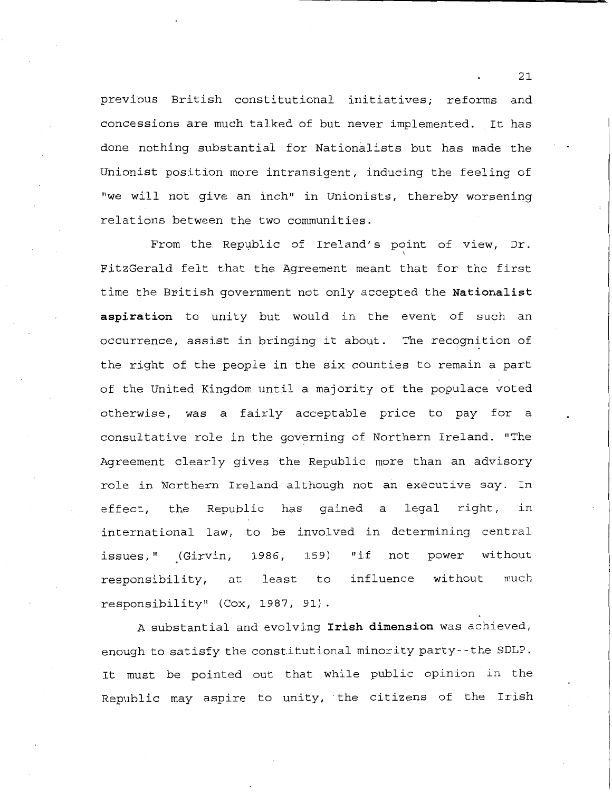previous British constitutional initiatives; reforms and concessions are much talked of but never implemented. It has done nothing substantial for Nationalists but has made the Unionist position more intransigent, inducing the feeling of "we will not give an inch" in Unionists, thereby worsening relations between the two communities.

From the Republic of Ireland's point of view, Dr. ' FitzGerald felt that the Agreement meant that for the first time the British government not only accepted the **Nationalist aspiration** to unity but would in the event of such an occurrence, assist in bringing it about. The recognition of the right of the people in the six counties to remain a part of the United Kingdom until a majority of the populace voted otherwise, was a fairly acceptable price to pay for a consultative role in the governing of Northern Ireland. "The Agreement clearly gives the Republic more than an advisory role in Northern Ireland although not an executive say. In effect, the Republic has gained a legal right, in international law, to be involved in determining central issues," (Girvin, responsibility, at 1986, least 159) to responsibility" (Cox, 1987, 91) "if not power without influence without much

A substantial and evolving **Irish dimension** was achieved, enough to satisfy the constitutional minority party- -the SDLP. It must be pointed out that while public opinion in the Republic may aspire to unity, the citizens of the Irish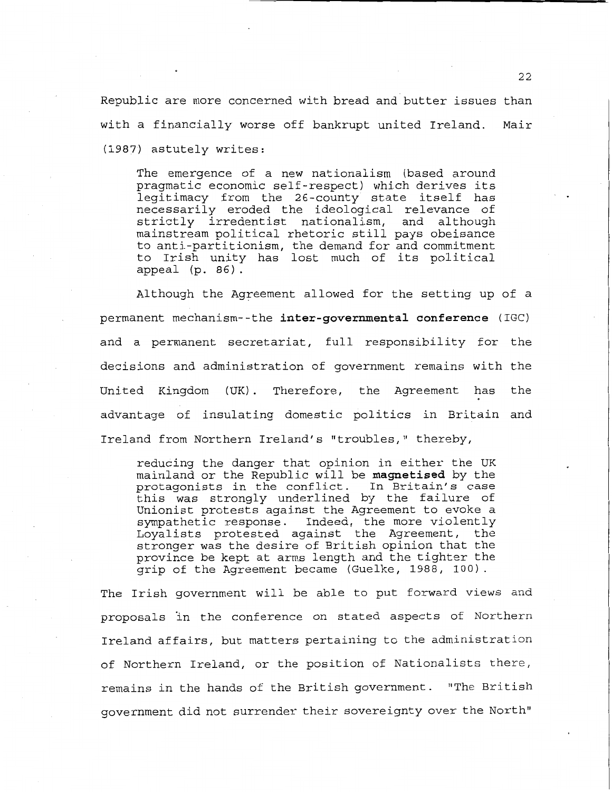Republic are more concerned with bread and butter issues than with a financially worse off bankrupt united Ireland. (1987) astutely writes: Mair

The emergence of a new nationalism (based around pragmatic economic self-respect) which derives its legitimacy from the 26-county state itself has necessarily eroded the ideological relevance of strictly irredentist nationalism, and although mainstream political rhetoric still pays obeisance to anti-partitionism, the demand for and commitment to Irish unity has lost much of its political appeal (p. 86) .

Although the Agreement allowed for the setting up of a permanent mechanism--the **inter-governmental conference** (IGC) and a permanent secretariat, full responsibility for the decisions and administration of government remains with the United Kingdom (UK). Therefore, the Agreement has the advantage of insulating domestic politics in Britain and Ireland from Northern Ireland's "troubles," thereby,

reducing the danger that opinion in either the UK mainland or the Republic will be **magnetised** by the protagonists in the conflict. In Britain's case this was strongly underlined by the failure of Unionist protests against the Agreement to evoke a sympathetic response. Indeed, the more violently Loyalists protested against the Agreement, the stronger was the desire of British opinion that the province be kept at arms length and the tighter the grip of the Agreement became (Guelke, 1988, 100).

The Irish government will be able to put forward views and proposals in the conference on stated aspects of Northern Ireland affairs, but matters pertaining to the administration of Northern Ireland, or the position of Nationalists there, remains in the hands of the British government. "The British government did not surrender their sovereignty over the North"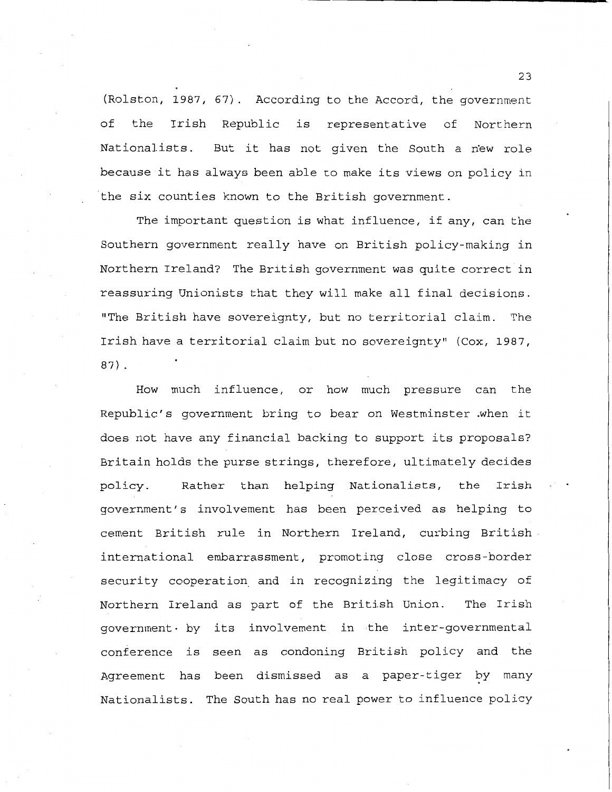(Rolston, 1987, 67). According to the Accord, the government of the Irish Republic is representative of Northern Nationalists. But it has not given the South a new role because it has always been able to make its views on policy in the six counties known to the British government.

The important question is what influence, if any, can the Southern government really have on British policy-making in Northern Ireland? The British government was quite correct in reassuring Unionists that they will make all final decisions. "The British have sovereignty, but no territorial claim. The Irish have a territorial claim but no sovereignty" (Cox, 1987, **87)** .

How much influence, or how much pressure can the Republic's government bring to bear on Westminster when it does not have any financial backing to support its proposals? Britain holds the purse strings, therefore, ultimately decides policy. Rather than helping Nationalists, the Irish government's involvement has been perceived as helping to cement British rule in Northern Ireland, curbing British international embarrassment, promoting close cross-border security cooperation\_ and in recognizing the legitimacy of Northern Ireland as part of the British Union. The Irish government• by its involvement in the inter-governmental conference is seen as condoning British policy and the Agreement has been dismissed as a paper-tiger by many Nationalists. The South has no real power to influence policy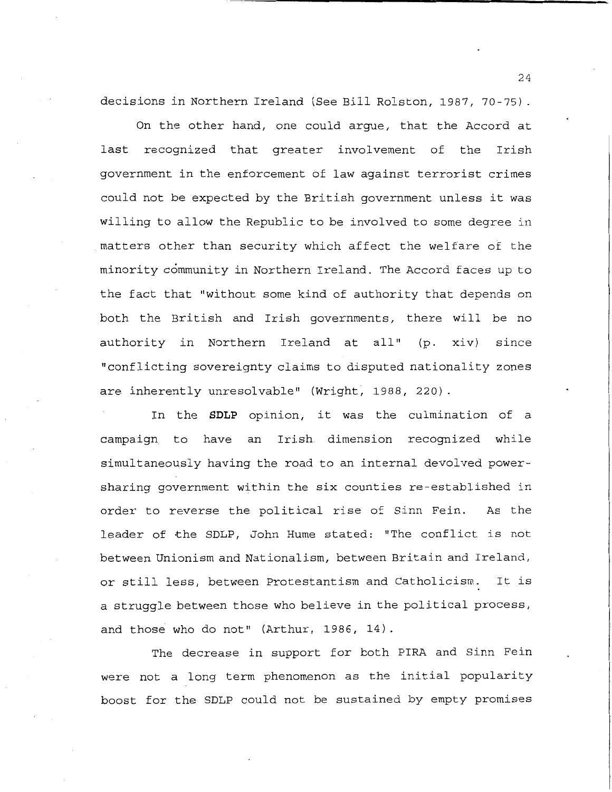decisions in Northern Ireland (See Bill Rolston, 1987, 70-75).

On the other hand, one could argue, that the Accord at last recognized that greater involvement of the Irish government in the enforcement of law against terrorist crimes could not be expected by the British government unless it was willing to allow the Republic to be involved to some degree in matters other than security which affect the welfare of the minority community in Northern Ireland. The Accord faces up to the fact that "without some kind of authority that depends on both the British and Irish governments, there will be no authority in Northern Ireland at all" (p. xiv) since "conflicting sovereignty claims to disputed nationality zones are inherently unresolvable" (Wright, 1988, 220).

In the **SDLP** opinion, it was the culmination of a campaign to have an Irish dimension recognized while simultaneously having the road to an internal devolved powersharing government within the six counties re-established in order to reverse the political rise of Sinn Fein. As the leader of the SDLP, John Hume stated: "The conflict is not between Unionism and Nationalism, between Britain and Ireland, or still less, between Protestantism and Catholicism. It is a struggle between those who believe in the political process, and those who do not" (Arthur, 1986, 14).

The decrease in support for both PIRA and Sinn Fein were not a long term phenomenon as the initial popularity boost for the SDLP could not be sustained by empty promises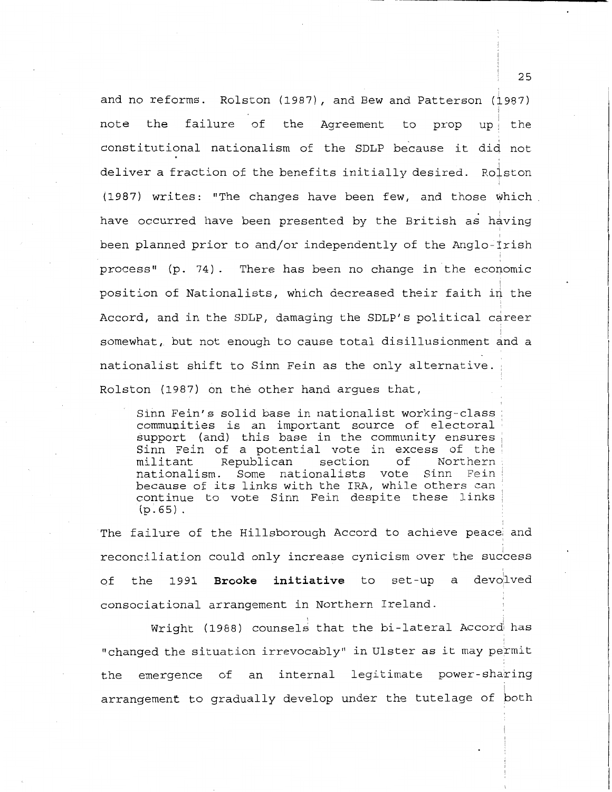and no reforms. Rolston (1987), and Bew and Patterson ( $\frac{1}{2}$ 987) I note the failure of the Agreement to prop up the constitutional nationalism of the SDLP because it did not deliver a fraction of the benefits initially desired. Ro $\frac{1}{2}$ ston i (1987) writes: "The changes have been few, and those which have occurred have been presented by the British as having been planned prior to and/or independently of the Anglo-Irish  $process''$  (p. 74). There has been no change in the economic position of Nationalists, which decreased their faith in the Accord, and in the SDLP, damaging the SDLP's political career i somewhat, but not enough to cause total disillusionment and a nationalist shift to Sinn Fein as the only alternative. Rolston (1987) on the other hand argues that,

Sinn Fein's solid base in nationalist working-class communities is an important source of electoral support (and) this base in the community ensures Sinn Fein of a potential vote in excess of the<br>militant Republican section of Northern Republican nationalism. Some nationalists vote Sinn Fein because of its links with the IRA, while others can continue to vote Sinn Fein despite these links  $(p.65)$ .

The failure of the Hillsborough Accord to achieve peace and reconciliation could only increase cynicism over the success of the 1991 **Brooke initiative** to a devolved consociational arrangement in Northern Ireland.

Wright (1988) counsels that the bi-lateral Accord has "changed the situation irrevocably" in Ulster as it may permit the emergence of an internal legitimate power-sharing arrangement to gradually develop under the tutelage of both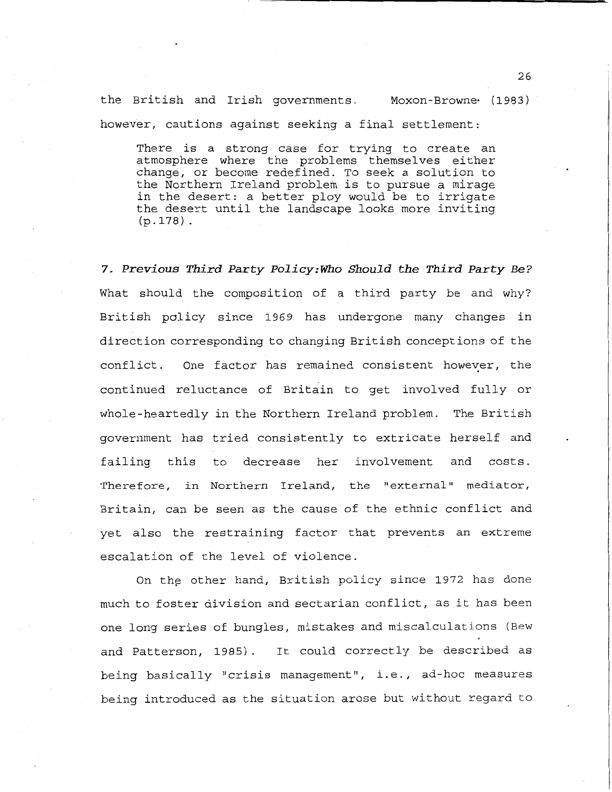the British and Irish governments. Moxon-Browne (1983) however, cautions against seeking a final settlement:

There is a strong case for trying to create an atmosphere where the problems themselves either change, or become redefined. To seek a solution to the Northern Ireland problem is to pursue a mirage in the desert: a better ploy would be to irrigate the desert until the landscape looks more inviting **(p.178).** 

7. *Previous Third* Party *Policy:Who Should the Third Party Be?*  What should the composition of a third party be and why? British policy since 1969 has undergone many changes in direction corresponding to changing British conceptions of the conflict. One factor has remained consistent however, the continued reluctance of Britain to get involved fully or whole-heartedly in the Northern Ireland problem. The British government has tried consistently to extricate herself and failing this to decrease her involvement and costs. Therefore, in Northern Ireland, the "external" mediator, Britain, can be seen as the cause of the ethnic conflict and yet also the restraining factor that prevents an extreme escalation of the level of violence.

On the other hand, British policy since 1972 has done much to foster division and sectarian conflict, as it has been one long series of bungles, mistakes and miscalculations (Bew and Patterson, 1985) . It could correctly be described as being basically "crisis management", i.e., ad-hoc measures being introduced as the situation arose but without regard to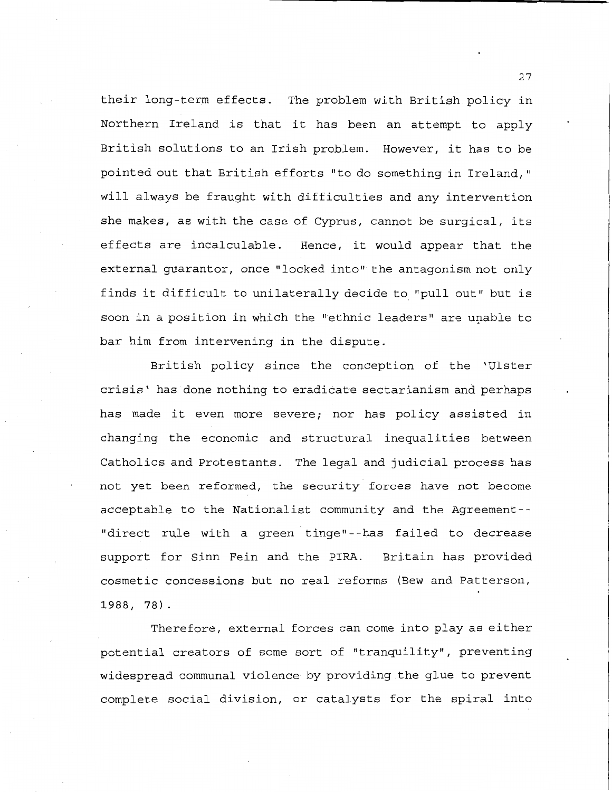their long-term effects. The problem with British policy in Northern Ireland is that it has been an attempt to apply British solutions to an Irish problem. However, it has to be pointed out that British efforts "to do something in Ireland," will always be fraught with difficulties and any intervention she makes, as with the case of Cyprus, cannot be surgical, its effects are incalculable. Hence, it would appear that the external guarantor, once "locked into" the antagonism not only finds it difficult to unilaterally decide to "pull out" but is soon in a position in which the "ethnic leaders" are unable to bar him from intervening in the dispute.

British policy since the conception of the 'Ulster crisis' has done nothing to eradicate sectarianism and perhaps has made it even more severe; nor has policy assisted in changing the economic and structural inequalities between Catholics and Protestants. The legal and judicial process has not yet been reformed, the security forces have not become acceptable to the Nationalist community and the Agreement-- "direct rule with a green tinge"--has failed to decrease support for Sinn Fein and the PIRA. Britain has provided cosmetic concessions but no real reforms (Bew and Patterson, 1988, 78).

Therefore, external forces can come into play as either potential creators of some sort of "tranquility", preventing widespread communal violence by providing the glue to prevent complete social division, or catalysts for the spiral into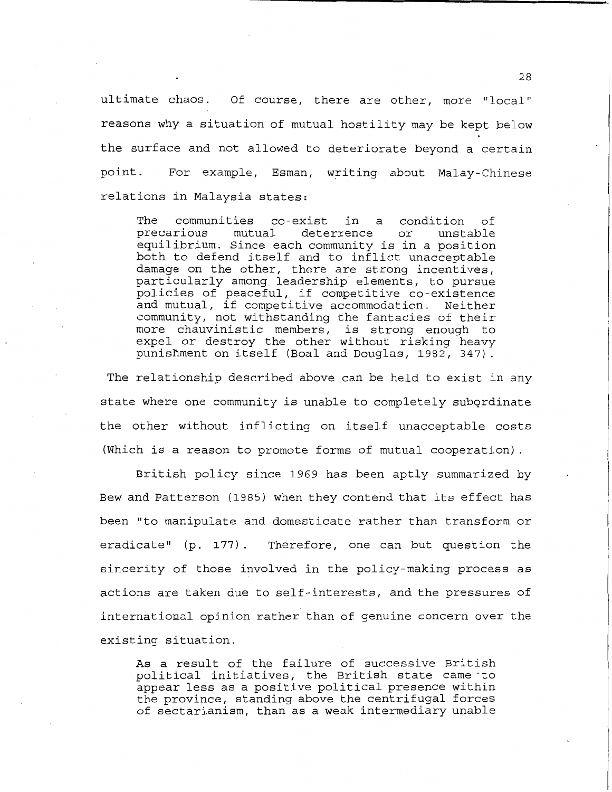ultimate chaos. Of course, there are other, more "local" reasons why a situation of mutual hostility may be kept below the surface and not allowed to deteriorate beyond a certain point. For example, Esman, writing about Malay-Chinese relations in Malaysia states:

The communities co-exist in a condition of<br>precarious mutual deterrence or unstable precarious mutual deterrence or unstable equilibrium. Since each community is in a position both to defend itself and to inflict unacceptable damage on the other, there are strong incentives, particularly among leadership elements, to pursue policies of peaceful, if competitive co-existence and mutual, if competitive accommodation. Neither community, not withstanding the fantacies of their more chauvinistic members, is strong enough to expel or destroy the other without risking heavy punishment on itself (Boal and Douglas, 1982, 347).

The relationship described above can be held to exist in any state where one community is unable to completely subordinate the other without inflicting on itself unacceptable costs (Which is a reason to promote forms of mutual cooperation).

British policy since 1969 has been aptly summarized by Bew and Patterson (1985) when they contend that its effect has been "to manipulate and domesticate rather than transform or eradicate" (p. 177). Therefore, one can but question the sincerity of those involved in the policy-making process as actions are taken due to self-interests, and the pressures of international opinion rather than of genuine concern over the existing situation.

As a result of the failure of successive British political initiatives, the British state came ·to appear less as a positive political presence within the province, standing above the centrifugal forces of sectarianism, than as a weak intermediary unable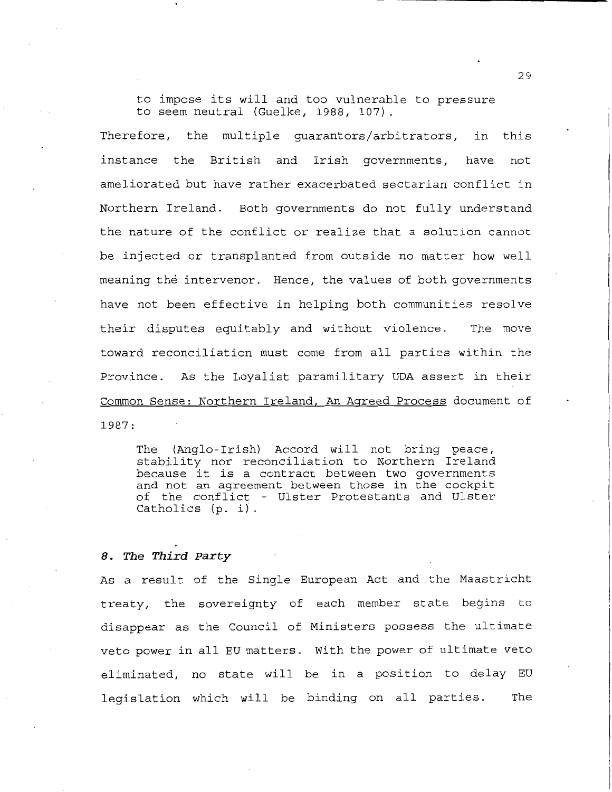to impose its will and too vulnerable to pressure to seem neutral (Guelke, 1988, 107).

Therefore, the multiple guarantors/arbitrators, instance the British and Irish governments, in this have not ameliorated but have rather exacerbated sectarian conflict in Northern Ireland. Both governments do not fully understand the nature of the conflict or realize that a solution cannot be injected or transplanted from outside no matter how well meaning the intervenor. Hence, the values of both governments have not been effective in helping both communities resolve their disputes equitably and without violence. The move toward reconciliation must come from all parties within the Province. As the Loyalist paramilitary UDA assert in their Common Sense: Northern Ireland, An Agreed Process document of **1987:** 

The (Anglo- Irish) Accord will not bring peace, stability nor reconciliation to Northern Ireland because it is a contract between two governments and not an agreement between those in the cockpit of the conflict - Ulster Protestants and Ulster Catholics (p. i).

#### *8. The Third Party*

As a result of the Single European Act and the Maastricht treaty, the sovereignty of each member state begins to disappear as the Council of Ministers possess the ultimate veto power in all EU matters. With the power of ultimate veto eliminated, no state will be in a position to delay EU legislation which will be binding on all parties. The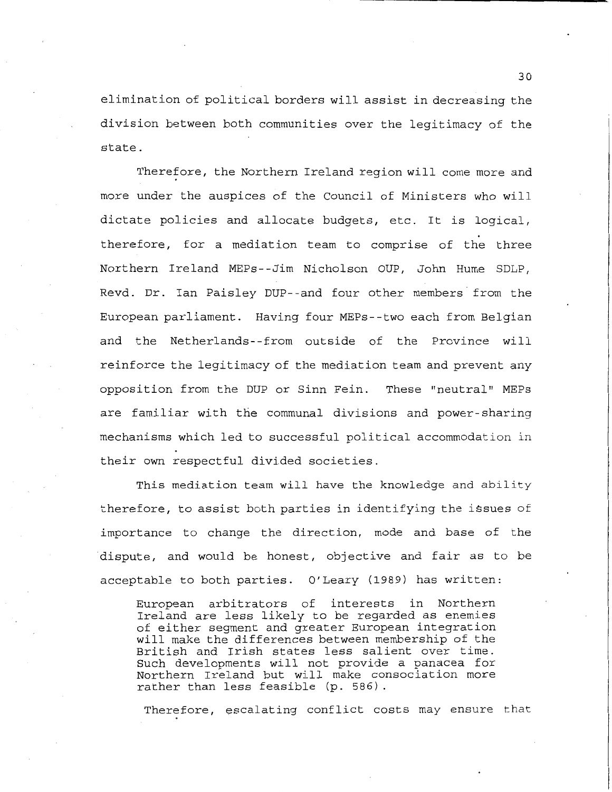elimination of political borders will assist in decreasing the division between both communities over the legitimacy of the state.

Therefore, the Northern Ireland region will come more and more under the auspices of the Council of Ministers who will dictate policies and allocate budgets, etc. It is logical, therefore, for a mediation team to comprise of the three Northern Ireland MEPs- -Jim Nicholson OUP, John Hume SDLP, Revd. Dr. Ian Paisley DUP--and four other members· from the European parliament. Having four MEPs--two each from Belgian and the Netherlands--from outside of the Province will reinforce the legitimacy of the mediation team and prevent any opposition from the DUP or Sinn Fein. These "neutral" MEPs are familiar with the communal divisions and power-sharing mechanisms which led to successful political accommodation in their own respectful divided societies.

This mediation team will have the knowledge and ability therefore, to assist both parties in identifying the issues of importance to change the direction, mode and base of the dispute, and would be honest, objective and fair as to be acceptable to both parties. O'Leary (1989) has written:

European arbitrators of interests in Northern Ireland are less likely to be regarded as enemies of either segment and greater European integration will make the differences between membership of the British and Irish states less salient over time. Such developments will not provide a panacea for Northern Ireland but will make consociation more rather than less feasible (p. 586).

Therefore, escalating conflict costs may ensure that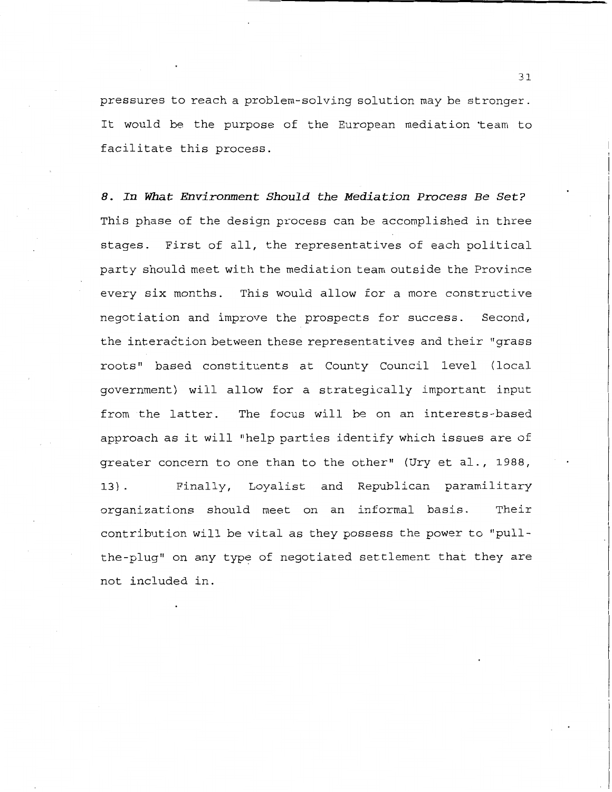pressures to reach a problem-solving solution may be stronger. It would be the purpose of the European mediation ·team to facilitate this process.

*8. In What Environment Should the Mediation Process Be Set?*  This phase of the design process can be accomplished in three stages. First of all, the representatives of each political party should meet with the mediation team outside the Province every six months. This would allow for a more constructive negotiation and improve the prospects for success. Second, the interaction between these representatives and their "grass roots" based constituents at County Council level ( local government) will allow for a strategically important input from the latter. The focus will be on an interests-based approach as it will "help parties identify which issues are of greater concern to one than to the other" (Ury et al., 1988, 13). Finally, Loyalist and Republican paramilitary organizations should meet on an informal basis. Their contribution will be vital as they possess the power to "pullthe-plug" on any type of negotiated settlement that they are not included in.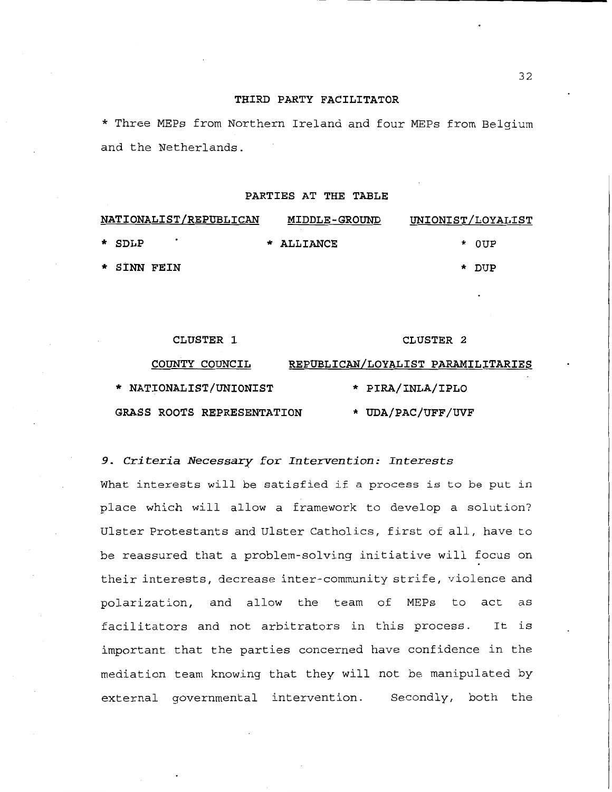### **THIRD PARTY FACILITATOR**

\* Three MEPs from Northern Ireland and four MEPs from Belgium and the Netherlands.

#### **PARTIES AT THE TABLE**

| NATIONALIST/REPUBLICAN |             | <b>MIDDLE-GROUND</b> |            | UNIONIST/LOYALIST |  |       |  |
|------------------------|-------------|----------------------|------------|-------------------|--|-------|--|
|                        | * SDLP      |                      | * ALLIANCE |                   |  | * OUP |  |
|                        | * SINN FEIN |                      |            |                   |  | * DUP |  |

| CLUSTER 1                         | CLUSTER 2                          |  |  |
|-----------------------------------|------------------------------------|--|--|
| COUNTY COUNCIL                    | REPUBLICAN/LOYALIST PARAMILITARIES |  |  |
| * NATIONALIST/UNIONIST            | * PIRA/INLA/IPLO                   |  |  |
| <b>GRASS ROOTS REPRESENTATION</b> | * UDA/PAC/UFF/UVF                  |  |  |

#### *9. Criteria Necessary for Intervention: Interests*

What interests will be satisfied if a process is to be put in place which will allow a framework to develop a solution? Ulster Protestants and Ulster Catholics, first of all, have to be reassured that a problem-solving initiative will focus on their interests, decrease inter-community strife, violence and polarization, and allow the team of MEPs to act as facilitators and not arbitrators in this process. It is important that the parties concerned have confidence in the mediation team knowing that they will not be manipulated by external governmental intervention. Secondly, both the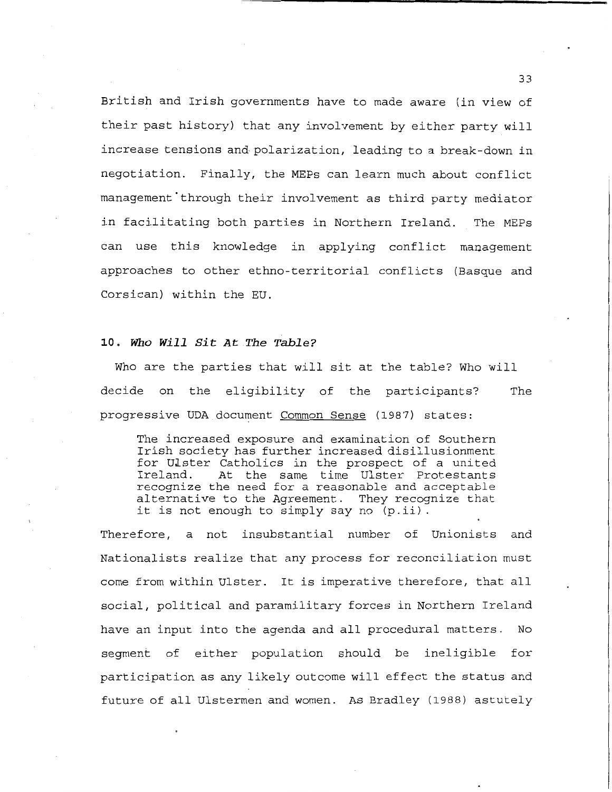British and Irish governments have to made aware (in view of their past history) that any involvement by either party will increase tensions and polarization, leading to a break-down in negotiation. Finally, the MEPs can learn much about conflict management through their involvement as third party mediator in facilitating both parties in Northern Ireland. The MEPs can use this knowledge in applying conflict management approaches to other ethno-territorial conflicts (Basque and Corsican) within the EU.

# **10.** *Who Will Sit At The Table?*

Who are the parties that will sit at the table? Who will decide on the eligibility of the participants? The progressive UDA document Common Sense (1987) states:

The increased exposure and examination of Southern Irish society has further increased disillusionment for Ulster Catholics in the prospect of a united<br>Ireland. At the same time Ulster Protestants At the same time Ulster Protestants recognize the need for a reasonable and acceptable alternative to the Agreement. They recognize that it is not enough to simply say no (p.ii).

Therefore, a not insubstantial number of Unionists and Nationalists realize that any process for reconciliation must come from within Ulster. It is imperative therefore, that all social, political and paramilitary forces in Northern Ireland have an input into the agenda and all procedural matters. No segment of either population should be ineligible for participation as any likely outcome will effect the status and future of all Ulstermen and women. As Bradley (1988) astutely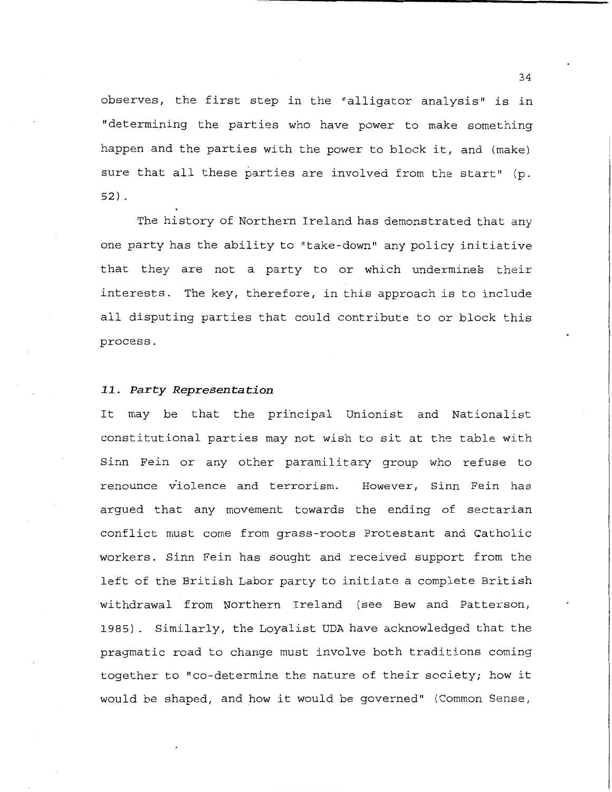observes, the first step in the "alligator analysis" is in "determining the parties who have power to make something happen and the parties with the power to block it, and (make) sure that all these parties are involved from the start" (p. 52) .

The history of Northern Ireland has demonstrated that any one party has the ability to "take-down" any policy initiative that they are not a party to or which undermines their interests. The key, therefore, in this approach is to include all disputing parties that could contribute to or block this process.

#### *11. Party Representation*

It may be that the principal Unionist and Nationalist constitutional parties may not wish to sit at the table with Sinn Fein or any other paramilitary group who refuse to renounce violence and terrorism. However, Sinn Fein has argued that any movement towards the ending of sectarian conflict must come from grass-roots Protestant and Catholic workers. Sinn Fein has sought and received support from the left of the British Labor party to initiate a complete British withdrawal from Northern Ireland (see Bew and Patterson, 1985). Similarly, the Loyalist UDA have acknowledged that the pragmatic road to change must involve both traditions coming together to "co-determine the nature of their society; how it would be shaped, and how it would be governed" (Common Sense,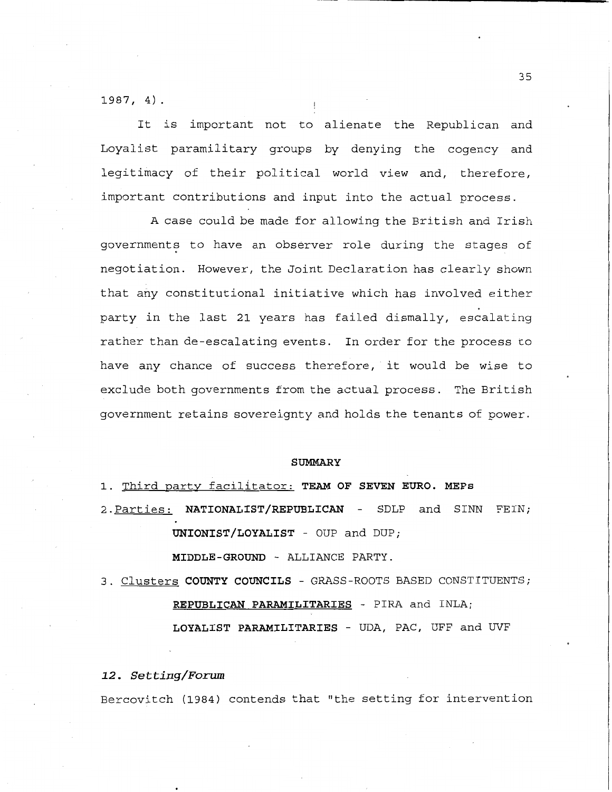1987, 4)

It is important not to alienate the Republican and Loyalist paramilitary groups by denying the cogency and legitimacy of their political world view and, therefore, important contributions and input into the actual process.

A case could be made for allowing the British and Irish governments to have an observer role during the stages of negotiation. However, the Joint Declaration has clearly shown that any constitutional initiative which has involved either party in the last 21 years has failed dismally, escalating rather than de-escalating events. In order for the process to have any chance of success therefore, it would be wise to exclude both governments from the actual process. The British government retains sovereignty and holds the tenants of power.

#### **SUMMARY**

1. Third party facilitator: **TEAM OF SEVEN EURO. MEPs** 

2. Parties: NATIONALIST/REPUBLICAN - SDLP and SINN FEIN; **UNIONIST/LOYALIST** - OUP and DUP;

**MIDDLE-GROUND** - ALLIANCE PARTY.

3. Clusters **COUNTY COUNCILS** - GRASS-ROOTS BASED CONSTITUENTS; **REPUBLICAN PARAMILITARIES** - PIRA and INLA; **LOYALIST PARAMILITARIES** - UDA, PAC, UFF and UVF

*12. Setting/Forum* 

Bercovitch (1984) contends that "the setting for intervention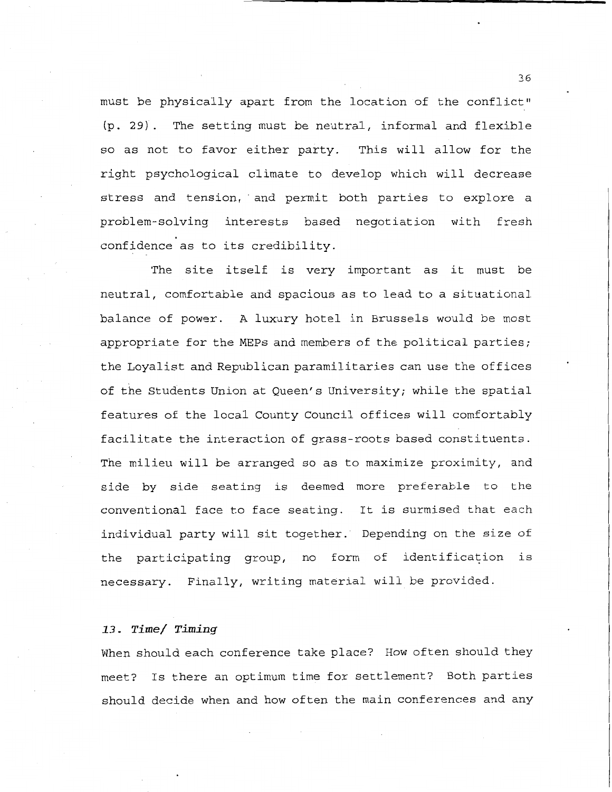must be physically apart from the location of the conflict" (p. 29). The setting must be neutral, informal and flexible so as not to favor either party. This will allow for the right psychological climate to develop which will decrease stress and tension, · and permit both parties to explore a problem-solving interests based negotiation with fresh confidence as to its credibility.

The site itself is very important as it must be neutral, comfortable and spacious as to lead to a situational balance of power. A luxury hotel in Brussels would be most appropriate for the MEPs and members of the political parties; the Loyalist and Republican paramilitaries can use the offices of the Students Union at Queen's University; while the spatial features of the local County Council offices will comfortably facilitate the interaction of grass-roots based constituents. The milieu will be arranged so as to maximize proximity, and side by side seating is deemed more preferable to the conventional face to face seating. It is surmised that each individual party will sit together. Depending on the size of the participating group, no form of identification is necessary. Finally, writing material will be provided.

### *13. Time/ Timing*

When should each conference take place? How often should they meet? Is there an optimum time for settlement? Both parties should decide when and how often the main conferences and any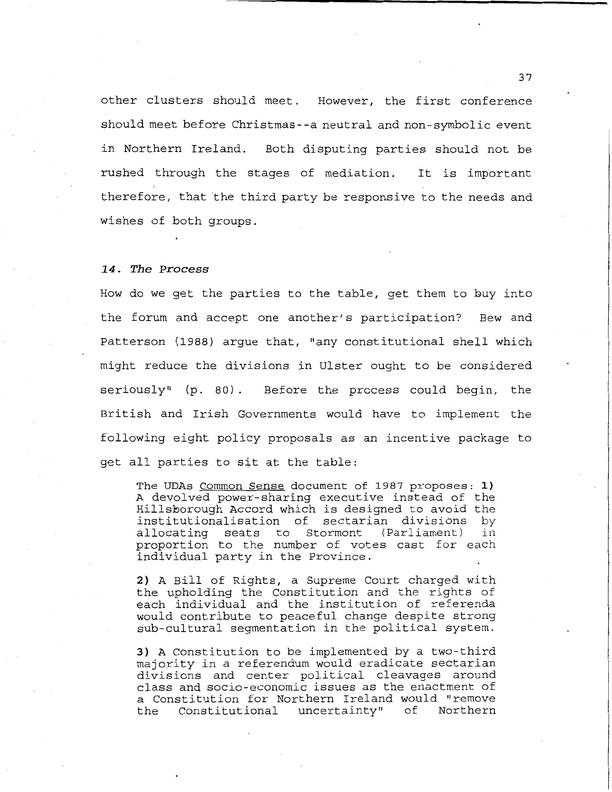other clusters should meet. However, the first conference should meet before Christmas- -a neutral and non-symbolic event in Northern Ireland. Both disputing parties should not be rushed through the stages of mediation. It is important therefore, that the third party be responsive to the needs and wishes of both groups.

#### **1.4. The Process**

How do we get the parties to the table, get them to huy into the forum and accept one another's participation? Bew and Patterson (1988) argue that, "any constitutional shell which might reduce the divisions in Ulster ought to be considered seriously" (p. 80). Before the process could begin, the British and Irish Governments would have to implement the following eight policy proposals as an incentive package to get all parties to sit at the table:

The UDAs Common Sense document of 1987 proposes: **1)**  A devolved power-sharing executive instead of the Hillsborough Accord which is designed to avoid the institutionalisation of sectarian divisions by allocating seats to Stormont (Parliament) proportion to the number of votes cast for each individual party in the Province.

**2)** A Bill of Rights, a Supreme Court charged with the upholding the Constitution and the rights of each individual and the institution of referenda would contribute to peaceful change despite strong sub-cultural segmentation in the political system.

**3)** A Constitution to be implemented by a two-third majority in a referendum would eradicate sectarian divisions and center political cleavages around class and socio-economic issues as the enactment of a Constitution for Northern Ireland would "remove<br>the Constitutional uncertainty" of Northern the Constitutional uncertainty"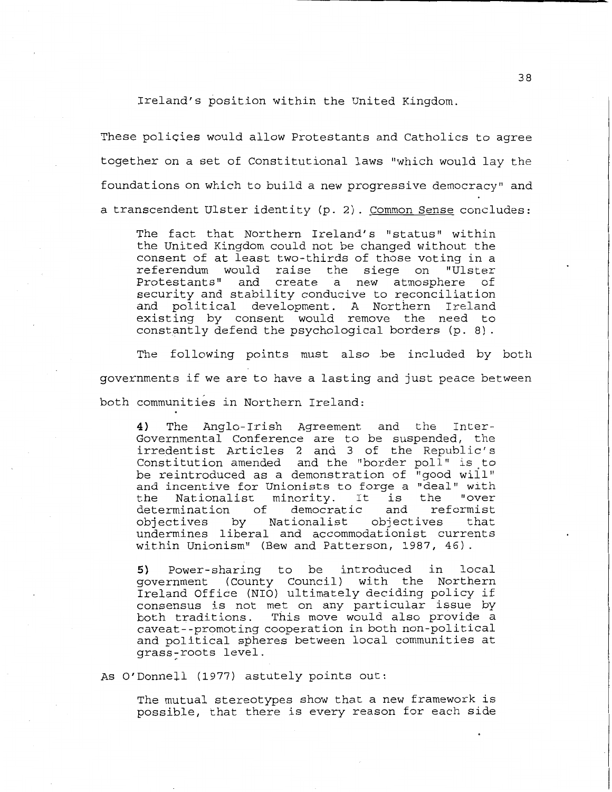Ireland's position within the United Kingdom.

These policies would allow Protestants and Catholics to agree together on a set of Constitutional laws "which would lay the foundations on which to build a new progressive democracy" and a transcendent Ulster identity (p. 2). Common Sense concludes:

The fact that Northern Ireland's "status" within the United Kingdom could not be changed without the consent of at least two-thirds of those voting in a referendum would raise the siege on Protestants" and create a new atmosphere of security and stability conducive to reconciliation and political development. A Northern Ireland existing by consent would remove the need to constantly defend the psychological borders (p. 8).

The following points must also be included by both governments if we are to have a lasting and just peace between both communities in Northern Ireland:

4) The Anglo-Irish Agreement and the Inter-Governmental Conference are to be suspended, the irredentist Articles 2 and 3 of the Republic's Constitution amended and the "border poll" is to be reintroduced as a demonstration of "good will" and incentive for Unionists to forge a "deal" with the Nationalist minority. It is the "over the Nationalist minority. It is the "over<br>determination of democratic and reformist<br>objectives by Nationalist objectives that objectives by Nationalist undermines liberal and accommodationist currents within Unionism" (Bew and Patterson, 1987, 46).

5) Power-sharing to be introduced in local government (County Council) with the Northern Ireland Office (NIO) ultimately deciding policy if consensus is not met on any particular issue by both traditions. This move would also provide a caveat--promoting cooperation in both non-political and political spheres between local communities at grass-roots level.

As O'Donnell (1977) astutely points out:

The mutual stereotypes show that a new framework is possible, that there is every reason for each side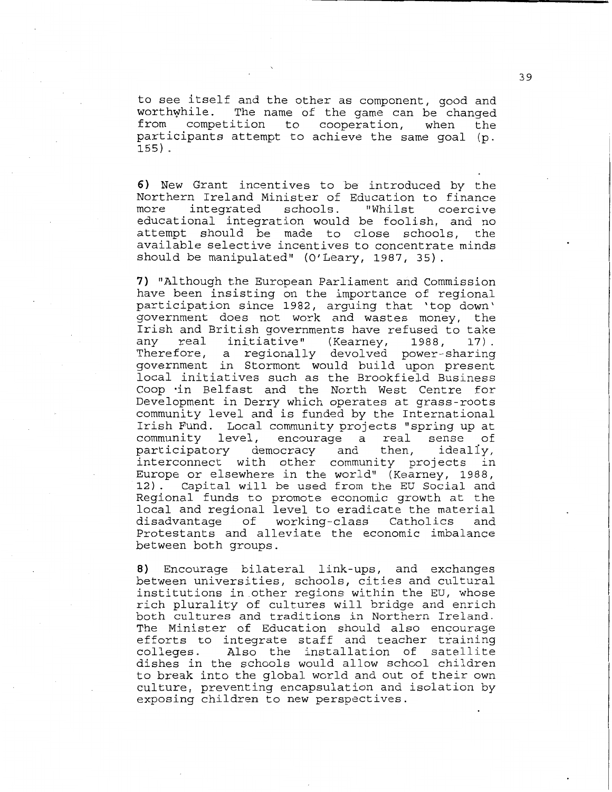to see itself and the other as component, good and worthwhile. The name of the game can be changed<br>from competition to cooperation, when the competition to cooperation, when the participants attempt to achieve the same goal (p. 155) .

**6) New** Grant incentives to be introduced by the Northern Ireland Minister of Education to finance integrated educational integration would be foolish, and no attempt should be made to close schools, the available selective incentives to concentrate minds should be manipulated" (O'Leary, 1987, 35).

**7)** "Although the European Parliament and Commission have been insisting on the importance of regional participation since 1982, arguing that 'top down' government does not work and wastes money, the Irish and British governments have refused to take<br>any real initiative" (Kearney, 1988, 17). any real initiative" (Kearney, 1988, 17). Therefore, a regionally devolved power-sharing government in Stormont would build upon present local initiatives such as the Brookfield Business Coop ·in Belfast and the North West Centre for Development in Derry which operates at grass-roots community level and is funded by the International Irish Fund. Local community projects "spring up at community level, encourage a real sense of<br>participatory democracy and then, ideally, democracy and interconnect with other community projects in Europe or elsewhere in the world" (Kearney, 1988, 12). Capital will be used from the EU Social and Regional funds to promote economic growth at the local and regional level to eradicate the material<br>disadvantage of working-class Catholics and disadvantage of working-class Protestants and alleviate the economic imbalance between both groups.

**8)** Encourage bilateral link-ups, and exchanges between universities, schools, cities and cultural institutions in other regions within the EU, whose rich plurality of cultures will bridge and enrich both cultures and traditions in Northern Ireland. The Minister of Education should also encourage efforts to integrate staff and teacher training<br>colleges. Also the installation of satellite Also the installation of satellite dishes in the schools would allow school children to break into the global world and out of their own culture, preventing encapsulation and isolation by exposing children to new perspectives.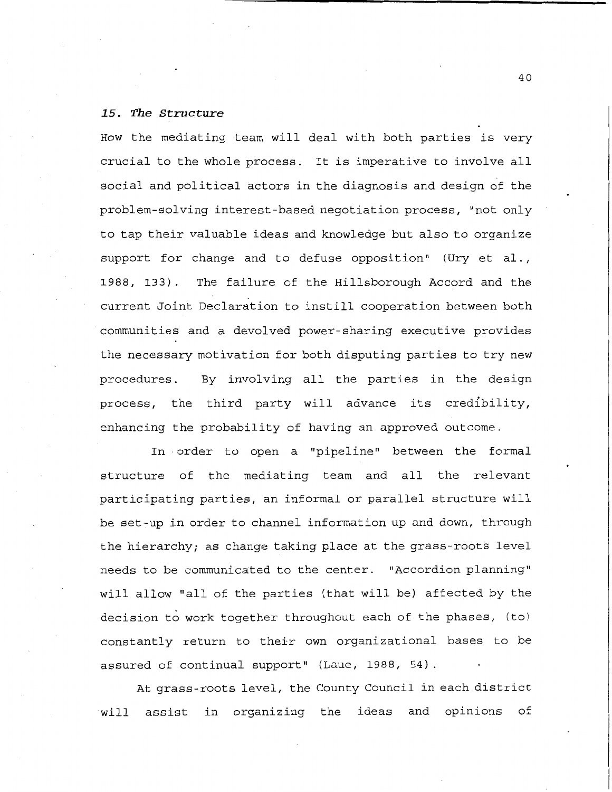# *15. The Structure*

How the mediating team will deal with both parties is very crucial to the whole process. It is imperative to involve all social and political actors in the diagnosis and design of the problem-solving interest-based negotiation process, "not only to tap their valuable ideas and knowledge but also to organize support for change and to defuse opposition" (Ury et al., 1988, 133). The failure of the Hillsborough Accord and the current Joint Declaration to instill cooperation between both communities and a devolved power-sharing executive provides the necessary motivation for both disputing parties to try new procedures. By involving all the parties in the design process, the third party will advance its credibility, enhancing the probability of having an approved outcome.

In order to open a "pipeline" between the formal structure of the mediating team and all the relevant participating parties, an informal or parallel structure will be set-up in order to channel information up and down, through the hierarchy; as change taking place at the grass-roots level needs to be communicated to the center. "Accordion planning" will allow "all of the parties (that will be) affected by the decision to work together throughout each of the phases, (to) constantly return to their own organizational bases to be assured of continual support" (Laue, 1988, 54).

At grass-roots level, the County Council in each district will assist in organizing the ideas and opinions of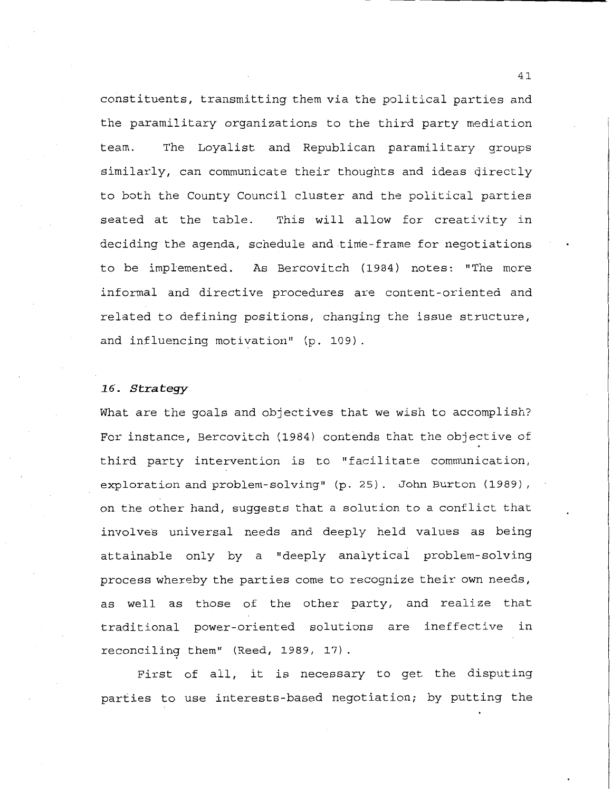constituents, transmitting them via the political parties and the paramilitary organizations to the third party mediation team. The Loyalist and Republican paramilitary groups similarly, can communicate their thoughts and ideas directly to both the County Council cluster and the political parties seated at the table. This will allow for creativity in deciding the agenda, schedule and time-frame for negotiations to be implemented. As Bercovitch (1984) notes: "The more informal and directive procedures are content-oriented and related to defining positions, changing the issue structure, and influencing motivation" (p. 109).

#### 16. Strategy

What are the goals and objectives that we wish to accomplish? For instance, Bercovitch (1984) contends that the objective of third party intervention is to "facilitate communication, exploration and problem-solving" (p. 25). John Burton (1989), on the other hand, suggests that a solution to a conflict that involves universal needs and deeply held values as being attainable only by a "deeply analytical problem-solving process whereby the parties come to recognize their own needs, as well as those of the other party, and realize that traditional power-oriented solutions are ineffective in reconciling them" (Reed, 1989, 17).

First of all, it is necessary to get the disputing parties to use interests-based negotiation; by putting the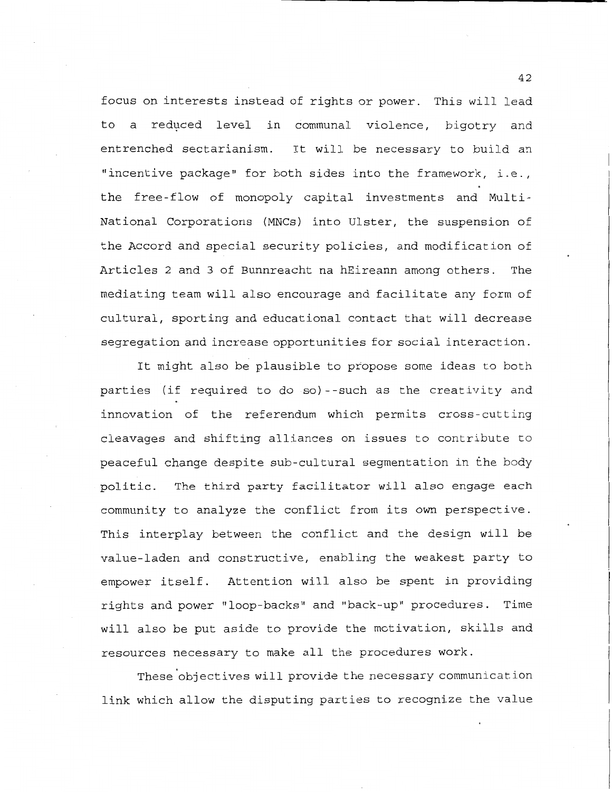focus on interests instead of rights or power. This will lead to a reduced level in communal violence, bigotry and entrenched sectarianism. It will be necessary to build an "incentive package" for both sides into the framework, i.e., the free-flow of monopoly capital investments and Multi-National Corporations (MNCs) into Ulster, the suspension of the Accord and special security policies, and modification of Articles 2 and 3 of Bunnreacht na hEireann among others. The mediating team will also encourage and facilitate any form of cultural, sporting and educational contact that will decrease segregation and increase opportunities for social interaction.

It might also be plausible to propose some ideas to both parties (if required to do so)--such as the creativity and innovation of the referendum which permits cross-cutting cleavages and shifting alliances on issues to contribute to peaceful change despite sub-cultural segmentation in the body politic. The third party facilitator will also engage each community to analyze the conflict from its own perspective. This interplay between the conflict and the design will be value-laden and constructive, enabling the weakest party to empower itself. Attention will also be spent in providing rights and power "loop-backs" and "back-up" procedures. Time will also be put aside to provide the motivation, skills and resources necessary to make all the procedures work.

These objectives will provide the necessary communication link which allow the disputing parties to recognize the value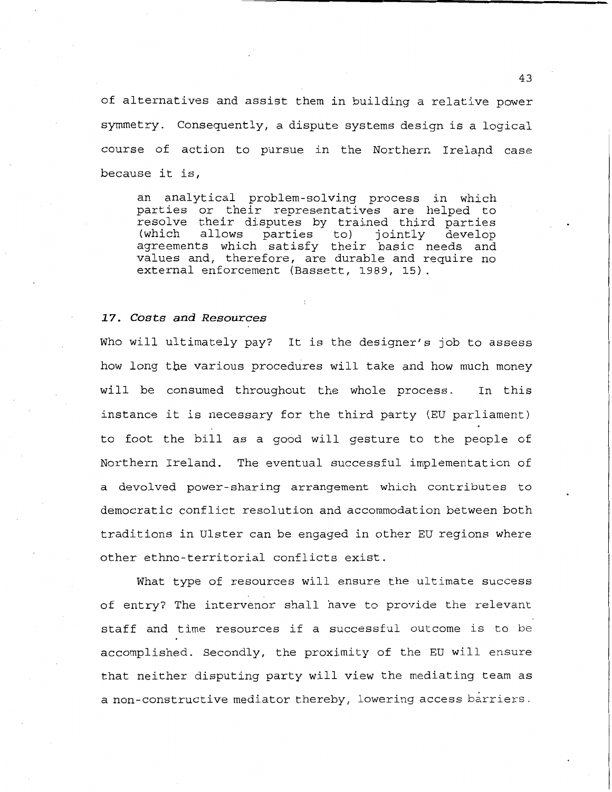of alternatives and assist them in building a relative power symmetry. Consequently, a dispute systems design is a logical course of action to pursue in the Northern Irelapd case because it is,

an analytical problem-solving process in which parties or their representatives are helped to resolve their disputes by trained third parties (which allows parties to) jointly develop (which allows parties to) jointly develop<br>agreements which satisfy their basic needs and values and, therefore, are durable and require no external enforcement (Bassett, 1989, 15).

#### *17. Costs and Resources*

Who will ultimately pay? It is the designer's job to assess how long tbe various procedures will take and how much money will be consumed throughout the whole process. In this instance it is necessary for the third party (EU parliament) to foot the bill as a good will gesture to the people of Northern Ireland. The eventual successful implementation of a devolved power-sharing arrangement which contributes to democratic conflict resolution and accommodation between both traditions in Ulster can be engaged in other EU regions where other ethno-territorial conflicts exist.

What type of resources will ensure the ultimate success of entry? The intervenor shall have to provide the relevant staff and time resources if a successful outcome is to be accomplished. Secondly, the proximity of the EU will ensure that neither disputing party will view the mediating team as a non-constructive mediator thereby, lowering access barriers.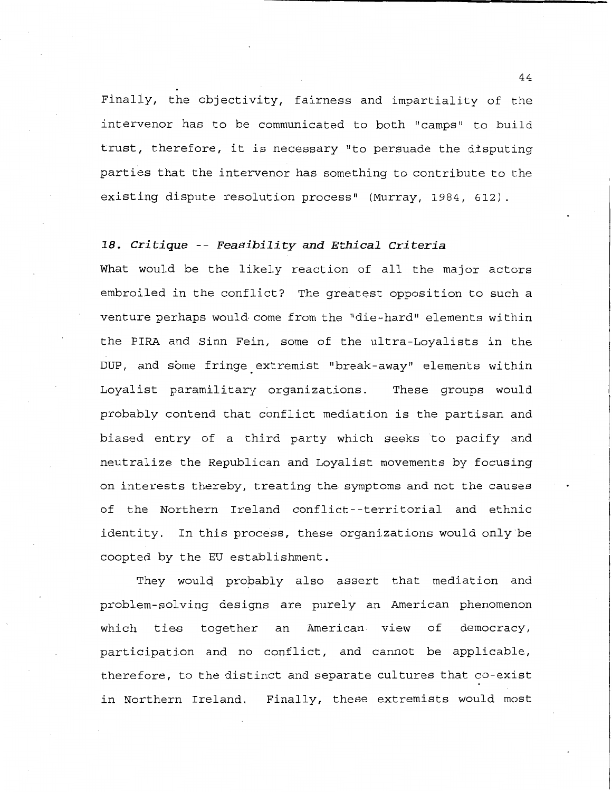Finaliy, the objectivity, fairness and impartiality of the intervenor has to be communicated to both "camps" to build trust, therefore, it is necessary "to persuade the disputing parties that the intervenor has something to contribute to the existing dispute resolution process" (Murray, 1984, 612).

# *18. Critique* **--** *Feasibility and Ethical Criteria*

What would be the likely reaction of all the major actors embroiled in the conflict? The greatest opposition to such a venture perhaps would come from the "die-hard" elements within the PIRA and Sinn Fein, some of the ultra-Loyalists in the DUP, and some fringe extremist "break-away" elements within Loyalist paramilitary organizations. These groups would probably contend that conflict mediation is the partisan and biased entry of a third party which seeks to pacify and neutralize the Republican and Loyalist movements by focusing on interests thereby, treating the symptoms and not the causes of the Northern Ireland conflict--territorial and ethnic identity. In this process, these organizations would only be coopted by the EU establishment.

They would probably also assert that mediation and problem-solving designs are purely an American phenomenon which ties together an American view of democracy, participation and no conflict, and cannot be applicable, therefore, to the distinct and separate cultures that co-exist in Northern Ireland. Finally, these extremists would most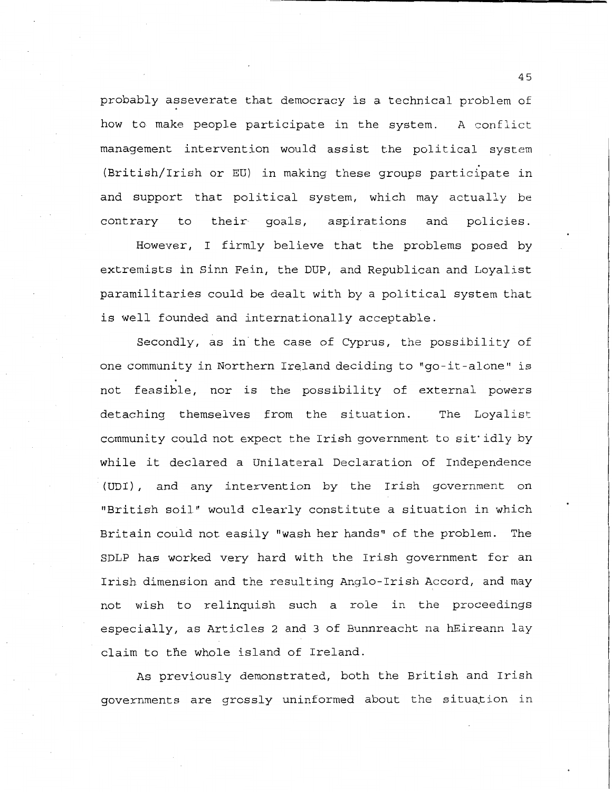probably asseverate that democracy is a technical problem of how to make people participate in the system. A conflict management intervention would assist the political system (British/Irish or EU) in making these groups participate in and support that political system, which may actually be contrary to their goals, aspirations and policies.

However, I firmly believe that the problems posed by extremists in Sinn Fein, the DUP, and Republican and Loyalist paramilitaries could be dealt with by a political system that is well founded and internationally acceptable.

Secondly, as in the case of Cyprus, the possibility of one community in Northern Ireland deciding to "go-it-alone" is not feasible, nor is the possibility of external powers detaching themselves from the situation. The Loyalist community could not expect the Irish government to sit•idly by while it declared a Unilateral Declaration of Independence (UDI), and any intervention by the Irish government on "British soil" would clearly constitute a situation in which Britain could not easily "wash her hands" of the problem. The SDLP has worked very hard with the Irish government for an Irish dimension and the resulting Anglo-Irish Accord, and may not wish to relinquish such a role in the proceedings especially, as Articles 2 and 3 of Bunnreacht na hEireann lay claim to the whole island of Ireland.

As previously demonstrated, both the British and Irish governments are grossly uninformed about the situation in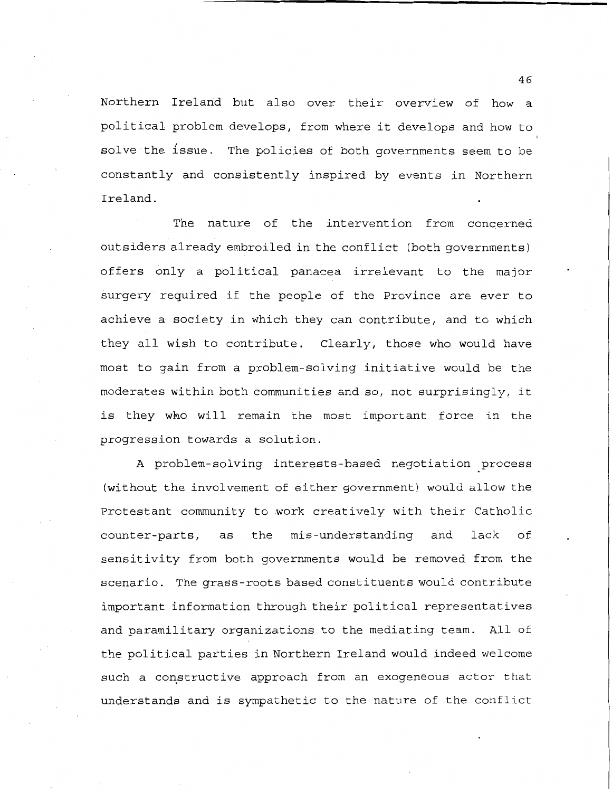Northern Ireland but also over their overview of how a political problem develops, from where it develops and how to solve the issue. The policies of both governments seem to be constantly and consistently inspired by events in Northern Ireland.

The nature of the intervention from concerned outsiders already embroiled in the conflict (both governments) offers only a political panacea irrelevant to the major surgery required if the people of the Province are ever to achieve a society in which they can contribute, and to which they all wish to contribute. Clearly, those who would have most to gain from a problem-solving initiative would be the moderates within both communities and so, not surprisingly, it is they who will remain the most important force in the progression towards a solution.

A problem-solving interests-based negotiation process (without the involvement of either government) would allow the Protestant community to work creatively with their Catholic counter-parts, as the mis-understanding and lack of sensitivity from both governments would be removed from the scenario. The grass-roots based constituents would contribute important information through their political representatives and paramilitary organizations to the mediating team. All of the political parties in Northern Ireland would indeed welcome such a constructive approach from an exogeneous actor that understands and is sympathetic to the nature of the conflict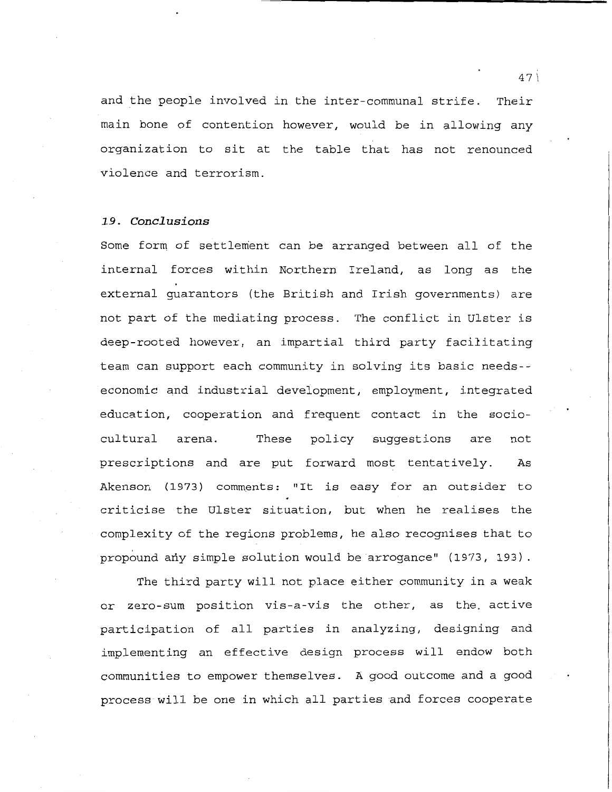and the people involved in the inter-communal strife. Their main bone of contention however, would be in allowing any organization to sit at the table that has not renounced violence and terrorism.

# **1.9. Canel us ions**

Some form, of settlement can be arranged between all of the internal forces within Northern Ireland, as long as the external guarantors (the British and Irish governments) are not part of the mediating process. The conflict in Ulster is deep-rooted however, an impartial third party facilitating team can support each community in solving its basic needs- economic and industrial development, employment, integrated education, cooperation and frequent contact in the sociocultural arena. These policy suggestions are not prescriptions and are put forward most tentatively. As Akenson (1973) comments: "It is easy for an outsider to criticise the Ulster situation, but when he realises the complexity of the regions problems, he also recognises that to propound any simple solution would be arrogance" (1973, 193).

The third party will not place either community in a weak or zero-sum position vis-a-vis the other, as the. active participation of all parties in analyzing, designing and implementing an effective design process will endow both communities to empower themselves. A good outcome and a good process will be one in which all parties and forces cooperate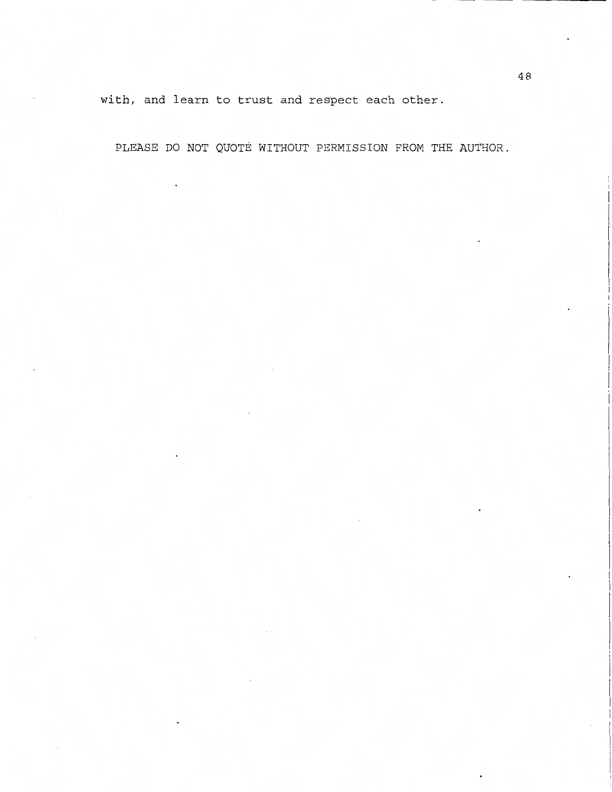with, and learn to trust and respect each other.

 $\overline{a}$ 

PLEASE DO NOT QUOTE WITHOUT PERMISSION FROM THE AUTHOR.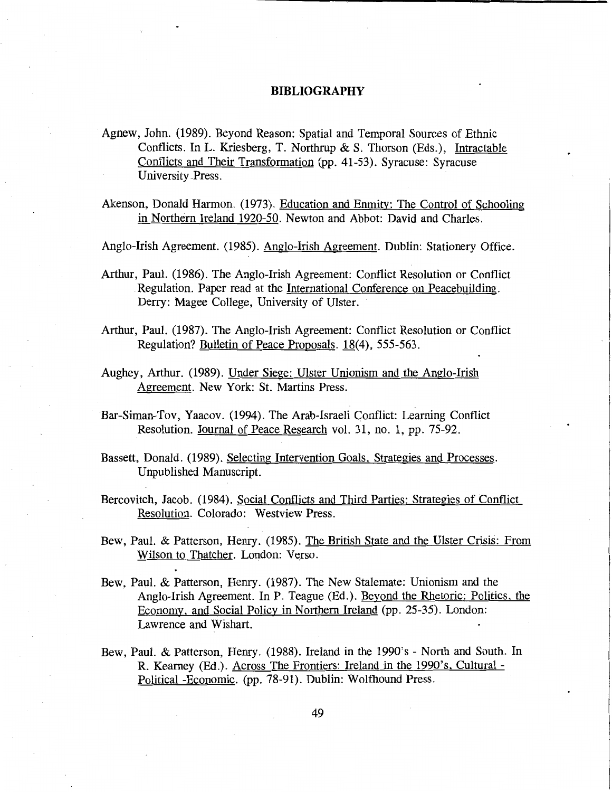- Agnew, John. (1989). Beyond Reason: Spatial and Temporal Sources of Ethnic Conflicts. In L. Kriesberg, T. Northrup & S. Thorson (Eds.), Intractable Conflicts and Their Transformation (pp. 41-53). Syracuse: Syracuse University -Press.
- Akenson, Donald Harmon. (1973). Education and Enmity: The Control of Schooling in Northern Ireland 1920-50. Newton and Abbot: David and Charles.

Anglo-Irish Agreement. (1985). Anglo-Irish Agreement. Dublin: Stationery Office.

- Arthur, Paul. (1986). The Anglo-Irish Agreement: Conflict Resolution or Conflict Regulation. Paper read at the International Conference on Peacebuilding. Derry: Magee College, University of Ulster.
- Arthur, Paul. (1987). The Anglo-Irish Agreement: Conflict Resolution or Conflict Regulation? Bulletin of Peace Proposals. 18(4), 555-563.
- Aughey, Arthur. (1989). Under Siege: Ulster Unionism and the Anglo-Irish Agreement. New York: St. Martins Press.
- Bar-Siman-Tov, Yaacov. (1994). The Arab-Israeli Conflict: Learning Conflict Resolution. Journal of Peace Research vol. 31, no. 1, pp. 75-92.
- Bassett, Donald. (1989). Selecting Intervention Goals. Strategies and Processes. Unpublished Manuscript.
- Bercovitch, Jacob. (1984). Social Conflicts and Third Parties: Strategies of Conflict Resolution. Colorado: Westview Press.
- Bew, Paul. & Patterson, Henry. (1985). The British State and the Ulster Crisis: From Wilson to Thatcher. London: Verso.
- Bew, Paul. & Patterson, Henry. (1987). The New Stalemate: Unionism and the Anglo-Irish Agreement. In P. Teague (Ed.). Beyond the Rhetoric: Politics, the Economy, and Social Policy in Northern Ireland (pp. 25-35). London: Lawrence and Wishart.
- Bew, Paul. & Patterson, Henry. (1988). Ireland in the 1990's North and South. In R. Kearney (Ed.). Across The Frontiers: Ireland in the 1990's, Cultural - Political -Economic. (pp. 78-91). Dublin: Wolfhound Press.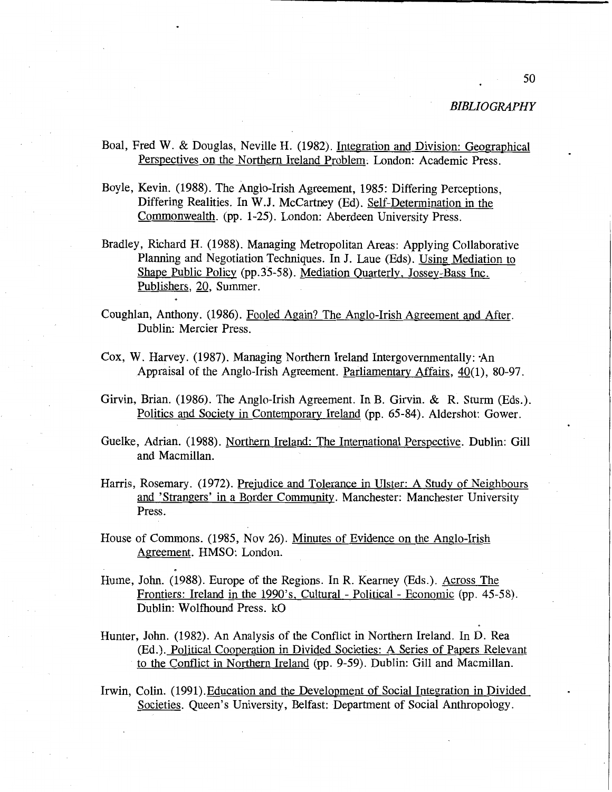- Boal, Fred W. & Douglas, Neville H. (1982). Integration and Division: Geographical Perspectives on the Northern Ireland Problem; London: Academic Press.
- Boyle, Kevin. (1988). The Anglo-Irish Agreement, 1985: Differing Perceptions, Differing Realities. In W.J. McCartney (Ed). Self-Determination in the Commonwealth. (pp. 1-25). London: Aberdeen University Press.
- Bradley, Richard H. (1988). Managing Metropolitan Areas: Applying Collaborative Planning and Negotiation Techniques. In J. Laue (Eds). Using Mediation to Shape Public Policy (pp.35-58). Mediation Quarterly, Jossey-Bass Inc. Publishers, 20, Summer.
- Coughlan, Anthony. (1986). Fooled Again? The Anglo-Irish Agreement and After. Dublin: Mercier Press.
- Cox, W. Harvey. (1987). Managing Northern Ireland lntergovernmentally: ·An Appraisal of the Anglo-Irish Agreement. Parliamentary Affairs, 40(1), 80-97.
- Girvin, Brian. (1986). The Anglo-Irish Agreement. In B. Girvin. & R. Sturm (Eds.). Politics and Society in Contemporary Ireland (pp. 65-84). Aldershot: Gower.
- Guelke, Adrian. (1988). Northern Ireland: The International Perspective. Dublin: Gill and Macmillan.
- Harris, Rosemary. (1972). Prejudice and Tolerance in Ulster: A Study of Neighbours and 'Strangers' in a Border Community. Manchester: Manchester University Press.
- House of Commons. (1985, Nov 26). Minutes of Evidence on the Anglo-Irish Agreement. HMSO: London.
- Hume, John. (1988). Europe of the Regions. In R. Kearney (Eds.). Across The Frontiers: Ireland in the 1990's, Cultural - Political - Economic (pp. 45-58). Dublin: Wolfhound Press. kO
- Hunter, John. (1982). An Analysis of the Conflict in Northern Ireland. In D. Rea (Ed.). Political Cooperation in Divided Societies: A Series of Papers Relevant to the Conflict in Northern Ireland (pp. 9-59). Dublin: Gill and Macmillan.
- Irwin, Colin. (1991).Education and the Development of Social Integration in Divided Societies. Queen's University, Belfast: Department of Social Anthropology.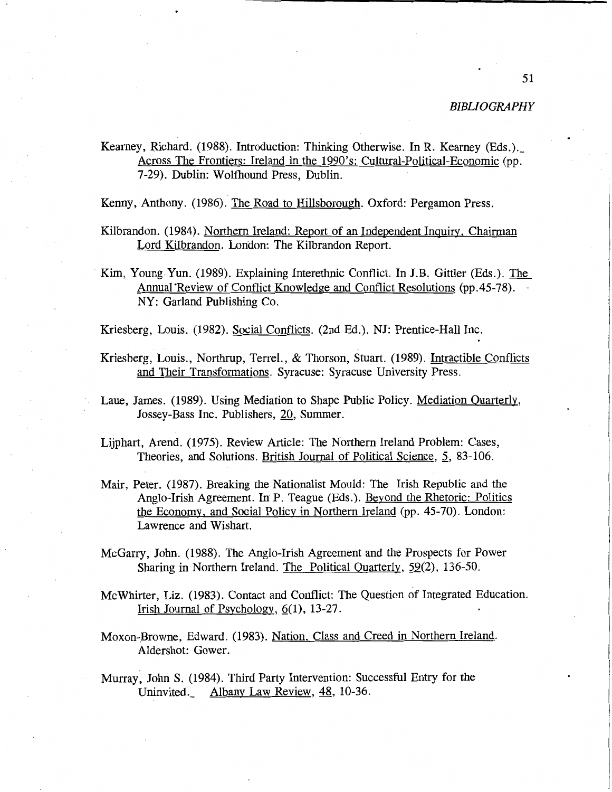Kearney, Richard. (1988). Introduction: Thinking Otherwise. In R. Kearney (Eds.).\_ Across The Frontiers: Ireland in the 1990's: Cultural-Political-Economic (pp. 7-29). Dublin: Wolfhound Press, Dublin.

Kenny, Anthony. (1986). The Road to Hillsborough. Oxford: Pergamon Press.

- Kilbrandon. (1984). Northern Ireland: Report of an Independent Inquiry, Chairman Lord Kilbrandon. London: The Kilbrandon Report.
- Kim, Young Yun. (1989). Explaining Interethnic Conflict. In J.B. Gittler (Eds.). The Annual Review of Conflict Knowledge and Conflict Resolutions (pp. 45-78). NY: Garland Publishing Co.

Kriesberg, Louis. (1982). Social Conflicts. (2nd Ed.). NJ: Prentice-Hall Inc.

- Kriesberg, Louis., Northrup, Terrel., & Thorson, Stuart. (1989). Intractible Conflicts and Their Transformations. Syracuse: Syracuse University Press.
- Laue, James. (1989). Using Mediation to Shape Public Policy. Mediation Quarterly, Jossey-Bass Inc. Publishers, 20, Summer.
- Lijphart, Arend. (1975). Review Article: The Northern Ireland Problem: Cases, Theories, and Solutions. British Journal of Political Science, 5, 83-106.
- Mair, Peter. (1987). Breaking the Nationalist Mould: The Irish Republic and the Anglo-Irish Agreement. In P. Teague (Eds.). Beyond the Rhetoric: Politics the Economy, and Social Policy in Northern Ireland (pp. 45-70). London: Lawrence and Wishart.
- McGarry, John. (1988). The Anglo-Irish Agreement and the Prospects for Power Sharing in Northern Ireland. The Political Quarterly, 59(2), 136-50.
- McWhirter, Liz. (1983). Contact and Conflict: The Question of Integrated Education. Irish Journal of Psychology,  $6(1)$ , 13-27.
- Moxon-Browne, Edward. (1983). Nation, Class and Creed in Northern Ireland. Aldershot: Gower.
- Murray·, John S. (1984). Third Party Intervention: Successful Entry for the Uninvited. Albany Law Review, 48, 10-36.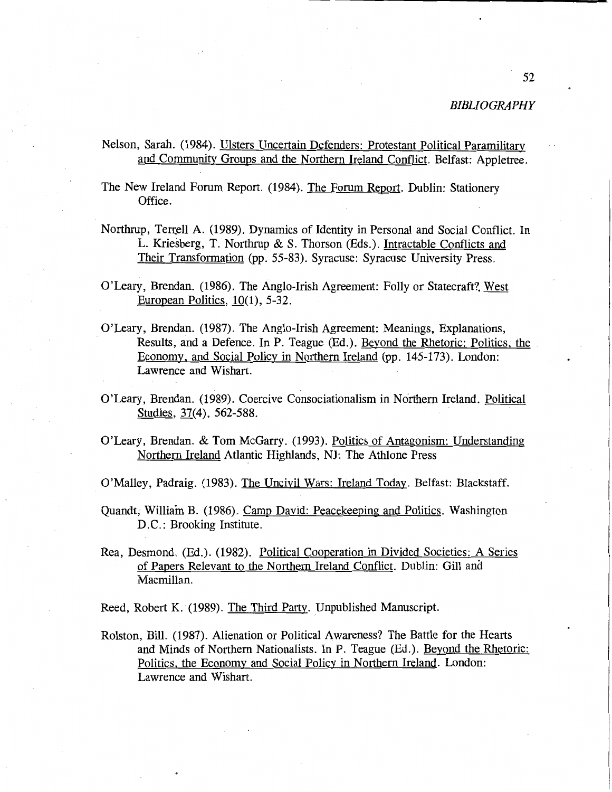Nelson, Sarah. (1984). Ulsters Uncertain Defenders: Protestant Political Paramilitary and Community Groups and the Northern Ireland Conflict. Belfast: Appletree.

The New Ireland Forum Report. (1984). The Forum Report. Dublin: Stationery Office.

- Northrup, Terrell A. (1989). Dynamics of Identity in Personal and Social Conflict. In L. Kriesberg, T. Northrup & S. Thorson (Eds.). Intractable Conflicts and Their Transformation (pp. 55-83). Syracuse: Syracuse University Press.
- O'Leary, Brendan. (1986). The Anglo-Irish Agreement: Folly or Statecraft?. West European Politics, 10(1), 5-32.
- O'Leary, Brendan. (1987). The Anglo-Irish Agreement: Meanings, Explanations, Results, and a Defence. In P. Teague (Ed.). Beyond the Rhetoric: Politics; the Economy, and Social Policy in Northern Ireland (pp. 145-173). London: Lawrence and Wishart.
- O'Leary, Brendan. (1989). Coercive Consociationalism in Northern Ireland. Political Studies, 37(4), 562-588.
- O'Leary, Brendan. & Tom McGarry. (1993). Politics of Antagonism: Understanding Northern Ireland Atlantic Highlands, NJ: The Athlone Press

O'Malley, Padraig. (1983). The Uncivil Wars: Ireland Today. Belfast: Blackstaff.

- Quandt, William B. (1986). Camp David: Peacekeeping and Politics. Washington D.C.: Brooking Institute.
- Rea, Desmond. (Ed.). (1982). Political Cooperation in Divided Societies: A Series of Papers Relevant to the Northern Ireland Conflict. Dublin: Gill and Macmillan.

Reed, Robert K. (1989). The Third Party. Unpublished Manuscript.

Rolston, Bill. (1987). Alienation or Political Awareness? The Battle for the Hearts and Minds of Northern Nationalists. In P. Teague (Ed.). Beyond the Rhetoric: Politics, the Economy and Social Policy in Northern Ireland. London: Lawrence and Wishart.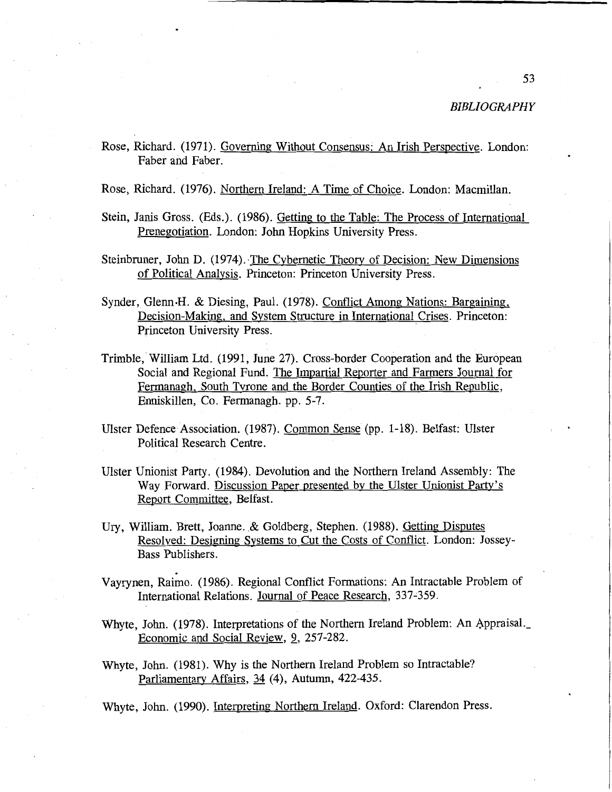Rose, Richard. (1971). Governing Without Consensus: An Irish Perspective. London: Faber and Faber.

Rose, Richard. (1976). Northern Ireland: A Time of Choice. London: Macmillan.

- Stein, Janis Gross. (Eds.). (1986). Getting to the Table: The Process of International Prenegotiation. London: John Hopkins University Press.
- Steinbruner, John D. (1974). The Cybernetic Theory of Decision: New Dimensions of Political Analysis. Princeton: Princeton University Press.
- Synder, Glenn•H. & Diesing, Paul. (1978). Conflict Among Nations: Bargaining, Decision-Making, and System Structure in International. Crises. Princeton: Princeton University Press.
- Trimble, William Ltd. (1991, June 27). Cross-border Cooperation and the European Social and Regional Fund. The Impartial Reporter and Farmers Journal for Fermanagh, South Tyrone and the Border Counties of the Irish Republic, Enniskillen, Co. Fermanagh. pp. 5-7.
- Ulster Defence Association. (1987). Common Sense (pp. 1-18). Belfast: Ulster Political Research Centre.
- Ulster Unionist Party. (1984). Devolution and the Northern Ireland Assembly: The Way Forward. Discussion Paper presented by the Ulster Unionist Party's Report Committee, Belfast.
- Ury, William. Brett, Joanne. & Goldberg, Stephen. (1988). Getting Disputes Resolved: Designing Systems to Cut the Costs of Conflict. London: Jossey-Bass Publishers.
- . Vayrynen, Raimo. (1986). Regional Conflict Formations: An Intractable Problem of International Relations. Journal of Peace Research, 337-359.
- Whyte, John. (1978). Interpretations of the Northern Ireland Problem: An Appraisal. Economic and Social Review, 2, 257-282.
- Whyte, John. (1981). Why is the Northern Ireland Problem so Intractable? Parliamentary Affairs, 34 (4), Autumn, 422-435.

Whyte, John. (1990). Interpreting Northern Ireland. Oxford: Clarendon Press.